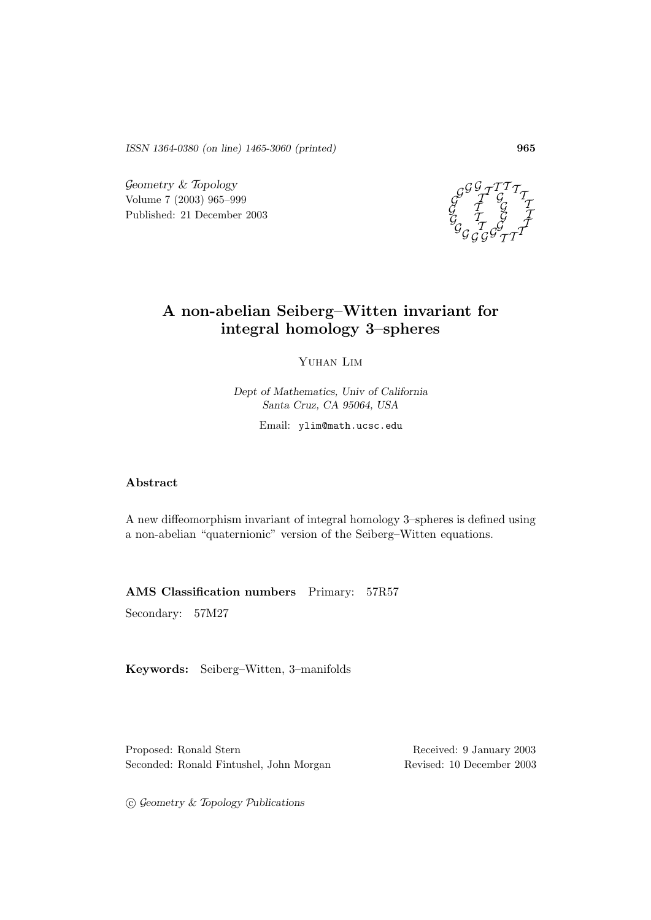*ISSN 1364-0380 (on line) 1465-3060 (printed)* **965**

Geometry & Topology Volume 7 (2003) 965–999 Published: 21 December 2003



# **A non-abelian Seiberg–Witten invariant for integral homology 3–spheres**

Yuhan Lim

*Dept of Mathematics, Univ of California Santa Cruz, CA 95064, USA*

Email: ylim@math.ucsc.edu

## **Abstract**

A new diffeomorphism invariant of integral homology 3–spheres is defined using a non-abelian "quaternionic" version of the Seiberg–Witten equations.

**AMS Classification numbers** Primary: 57R57

Secondary: 57M27

**Keywords:** Seiberg–Witten, 3–manifolds

Proposed: Ronald Stern Received: 9 January 2003 Seconded: Ronald Fintushel, John Morgan Revised: 10 December 2003

G c *eometry &* T*opology* P*ublications*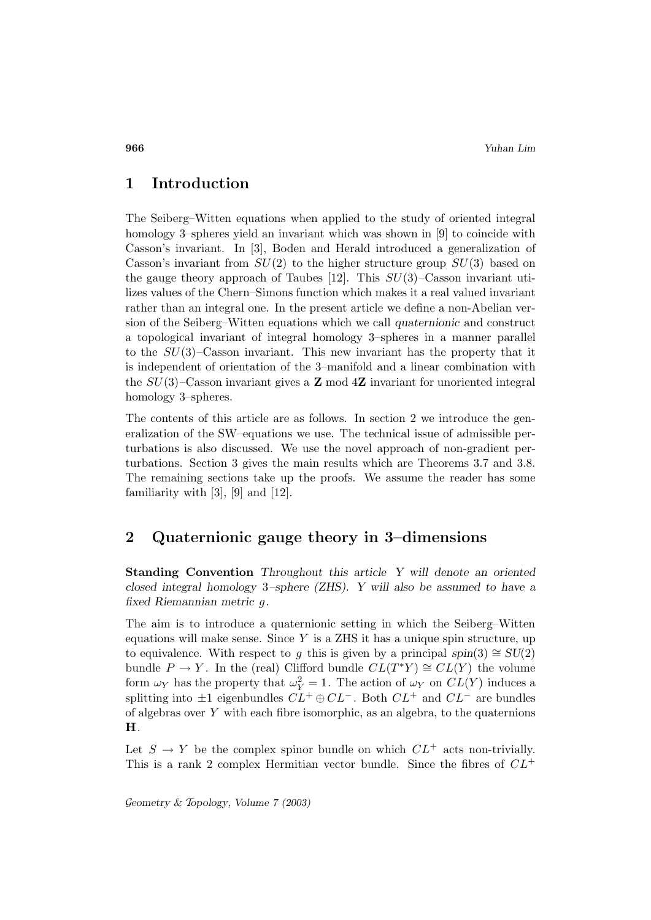# **1 Introduction**

The Seiberg–Witten equations when applied to the study of oriented integral homology 3–spheres yield an invariant which was shown in [9] to coincide with Casson's invariant. In [3], Boden and Herald introduced a generalization of Casson's invariant from  $SU(2)$  to the higher structure group  $SU(3)$  based on the gauge theory approach of Taubes [12]. This  $SU(3)$ –Casson invariant utilizes values of the Chern–Simons function which makes it a real valued invariant rather than an integral one. In the present article we define a non-Abelian version of the Seiberg–Witten equations which we call *quaternionic* and construct a topological invariant of integral homology 3–spheres in a manner parallel to the  $SU(3)$ –Casson invariant. This new invariant has the property that it is independent of orientation of the 3–manifold and a linear combination with the SU(3)–Casson invariant gives a **Z** mod 4**Z** invariant for unoriented integral homology 3–spheres.

The contents of this article are as follows. In section 2 we introduce the generalization of the SW–equations we use. The technical issue of admissible perturbations is also discussed. We use the novel approach of non-gradient perturbations. Section 3 gives the main results which are Theorems 3.7 and 3.8. The remaining sections take up the proofs. We assume the reader has some familiarity with  $[3]$ ,  $[9]$  and  $[12]$ .

# **2 Quaternionic gauge theory in 3–dimensions**

**Standing Convention** *Throughout this article Y will denote an oriented closed integral homology* 3*–sphere (ZHS). Y will also be assumed to have a fixed Riemannian metric* g*.*

The aim is to introduce a quaternionic setting in which the Seiberg–Witten equations will make sense. Since  $Y$  is a ZHS it has a unique spin structure, up to equivalence. With respect to g this is given by a principal  $spin(3) \cong SU(2)$ bundle  $P \to Y$ . In the (real) Clifford bundle  $CL(T^*Y) \cong CL(Y)$  the volume form  $\omega_Y$  has the property that  $\omega_Y^2 = 1$ . The action of  $\omega_Y$  on  $CL(Y)$  induces a splitting into  $\pm 1$  eigenbundles  $CL^+ \oplus CL^-$ . Both  $CL^+$  and  $CL^-$  are bundles of algebras over Y with each fibre isomorphic, as an algebra, to the quaternions **H**.

Let  $S \to Y$  be the complex spinor bundle on which  $CL^+$  acts non-trivially. This is a rank 2 complex Hermitian vector bundle. Since the fibres of  $CL^+$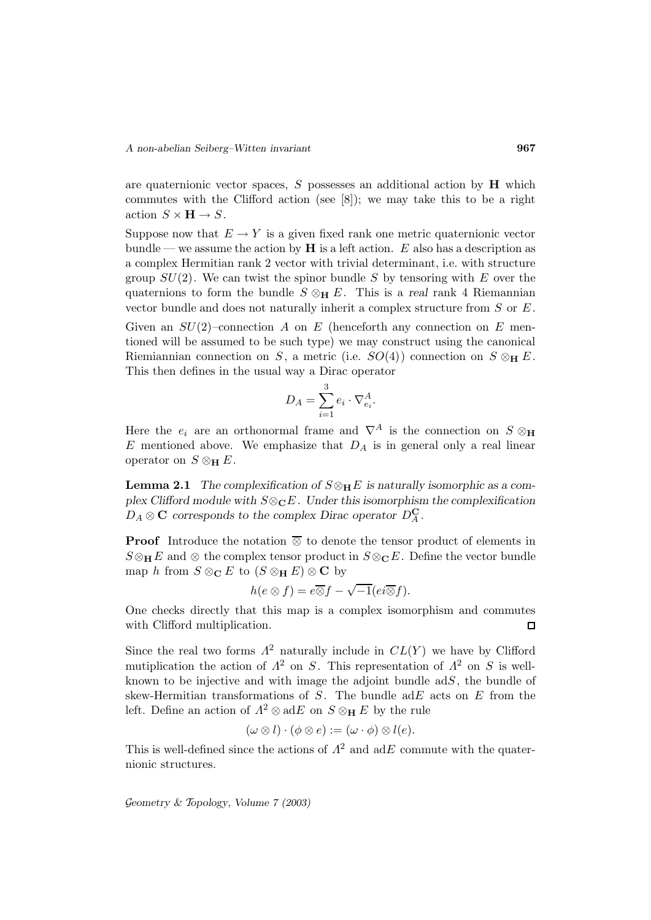are quaternionic vector spaces,  $S$  possesses an additional action by  $H$  which commutes with the Clifford action (see [8]); we may take this to be a right action  $S \times H \to S$ .

Suppose now that  $E \to Y$  is a given fixed rank one metric quaternionic vector bundle — we assume the action by  $\bf{H}$  is a left action. E also has a description as a complex Hermitian rank 2 vector with trivial determinant, i.e. with structure group  $SU(2)$ . We can twist the spinor bundle S by tensoring with E over the quaternions to form the bundle  $S \otimes_H E$ . This is a *real* rank 4 Riemannian vector bundle and does not naturally inherit a complex structure from  $S$  or  $E$ .

Given an  $SU(2)$ -connection A on E (henceforth any connection on E mentioned will be assumed to be such type) we may construct using the canonical Riemiannian connection on S, a metric (i.e.  $SO(4)$ ) connection on  $S \otimes_{\mathbf{H}} E$ . This then defines in the usual way a Dirac operator

$$
D_A = \sum_{i=1}^3 e_i \cdot \nabla_{e_i}^A.
$$

Here the  $e_i$  are an orthonormal frame and  $\nabla^A$  is the connection on  $S \otimes_H$ E mentioned above. We emphasize that  $D_A$  is in general only a real linear operator on  $S \otimes_{\mathbf{H}} E$ .

**Lemma 2.1** *The complexification of*  $S \otimes_{\mathbf{H}} E$  *is naturally isomorphic as a complex Clifford module with*  $S \otimes_{\mathbb{C}} E$ *. Under this isomorphism the complexification*  $D_A \otimes \mathbf{C}$  *corresponds to the complex Dirac operator*  $D_A^{\mathbf{C}}$ .

**Proof** Introduce the notation  $\overline{\otimes}$  to denote the tensor product of elements in  $S \otimes_{\mathbf{H}} E$  and  $\otimes$  the complex tensor product in  $S \otimes_{\mathbf{C}} E$ . Define the vector bundle map h from  $S \otimes_{\mathbf{C}} E$  to  $(S \otimes_{\mathbf{H}} E) \otimes_{\mathbf{C}} \mathbf{C}$  by

$$
h(e \otimes f) = e \overline{\otimes} f - \sqrt{-1}(ei \overline{\otimes} f).
$$

One checks directly that this map is a complex isomorphism and commutes with Clifford multiplication.  $\Box$ 

Since the real two forms  $\Lambda^2$  naturally include in  $CL(Y)$  we have by Clifford mutiplication the action of  $\Lambda^2$  on S. This representation of  $\Lambda^2$  on S is wellknown to be injective and with image the adjoint bundle  $adS$ , the bundle of skew-Hermitian transformations of  $S$ . The bundle ad $E$  acts on  $E$  from the left. Define an action of  $\Lambda^2 \otimes \text{ad}E$  on  $S \otimes_H E$  by the rule

$$
(\omega \otimes l) \cdot (\phi \otimes e) := (\omega \cdot \phi) \otimes l(e).
$$

This is well-defined since the actions of  $\Lambda^2$  and adE commute with the quaternionic structures.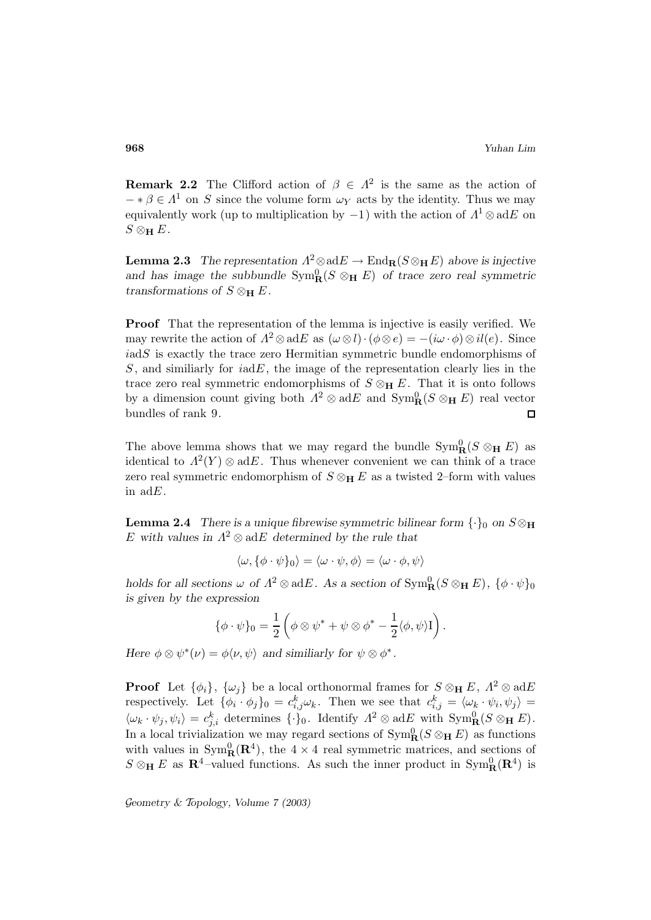**Remark 2.2** The Clifford action of  $\beta \in \Lambda^2$  is the same as the action of  $-\ast \beta \in \Lambda^1$  on S since the volume form  $\omega_Y$  acts by the identity. Thus we may equivalently work (up to multiplication by  $-1$ ) with the action of  $\Lambda^1 \otimes adE$  on  $S \otimes_{\mathbf{H}} E$ .

**Lemma 2.3** *The representation*  $\Lambda^2 \otimes adE \to End_{\mathbf{R}}(S \otimes_{\mathbf{H}} E)$  *above is injective* and has image the subbundle  $Sym_R^0(S \otimes_H E)$  of trace zero real symmetric *transformations of*  $S \otimes_{\mathbf{H}} E$ .

**Proof** That the representation of the lemma is injective is easily verified. We may rewrite the action of  $\Lambda^2 \otimes \text{ad}E$  as  $(\omega \otimes l) \cdot (\phi \otimes e) = -(i\omega \cdot \phi) \otimes il(e)$ . Since  $i$ ad $S$  is exactly the trace zero Hermitian symmetric bundle endomorphisms of  $S$ , and similiarly for  $i\alpha dE$ , the image of the representation clearly lies in the trace zero real symmetric endomorphisms of  $S \otimes_{\mathbf{H}} E$ . That it is onto follows by a dimension count giving both  $\Lambda^2 \otimes \text{ad}E$  and  $\text{Sym}_{\mathbf{R}}^0(S \otimes_{\mathbf{H}} E)$  real vector bundles of rank 9.  $\Box$ 

The above lemma shows that we may regard the bundle  $\text{Sym}_{\mathbf{R}}^0(S \otimes_{\mathbf{H}} E)$  as identical to  $\Lambda^2(Y) \otimes \text{ad}E$ . Thus whenever convenient we can think of a trace zero real symmetric endomorphism of  $S \otimes_H E$  as a twisted 2–form with values in adE.

**Lemma 2.4** *There is a unique fibrewise symmetric bilinear form*  $\{\cdot\}_0$  *on*  $S \otimes_H$ E with values in  $\Lambda^2 \otimes \text{ad}E$  determined by the rule that

$$
\langle \omega, \{\phi \cdot \psi\}_0 \rangle = \langle \omega \cdot \psi, \phi \rangle = \langle \omega \cdot \phi, \psi \rangle
$$

*holds for all sections*  $\omega$  *of*  $\Lambda^2 \otimes adE$ *. As a section of*  $\text{Sym}_{\mathbf{R}}^0(S \otimes_{\mathbf{H}} E)$ *,*  $\{\phi \cdot \psi\}_0$ *is given by the expression*

$$
\{\phi \cdot \psi\}_0 = \frac{1}{2} \left( \phi \otimes \psi^* + \psi \otimes \phi^* - \frac{1}{2} \langle \phi, \psi \rangle \mathbf{I} \right).
$$

*Here*  $\phi \otimes \psi^*(\nu) = \phi \langle \nu, \psi \rangle$  *and similiarly for*  $\psi \otimes \phi^*$ *.* 

**Proof** Let  $\{\phi_i\}$ ,  $\{\omega_j\}$  be a local orthonormal frames for  $S \otimes_H E$ ,  $\Lambda^2 \otimes \text{ad}E$ respectively. Let  $\{\phi_i \cdot \phi_j\}_0 = c_{i,j}^k \omega_k$ . Then we see that  $c_{i,j}^k = \langle \omega_k \cdot \psi_i, \psi_j \rangle =$  $\langle \omega_k \cdot \psi_j, \psi_i \rangle = c_{j,i}^k$  determines  $\{\cdot\}_0$ . Identify  $\Lambda^2 \otimes \text{ad}E$  with  $\text{Sym}_{\mathbf{R}}^0(S \otimes_{\mathbf{H}} E)$ . In a local trivialization we may regard sections of  $\text{Sym}_{\mathbf{R}}^0(S \otimes_{\mathbf{H}} E)$  as functions with values in  $Sym^0_{\mathbf{R}}(\mathbf{R}^4)$ , the  $4 \times 4$  real symmetric matrices, and sections of  $S \otimes_{\mathbf{H}} E$  as  $\mathbf{R}^4$ -valued functions. As such the inner product in  $\text{Sym}_{\mathbf{R}}^0(\mathbf{R}^4)$  is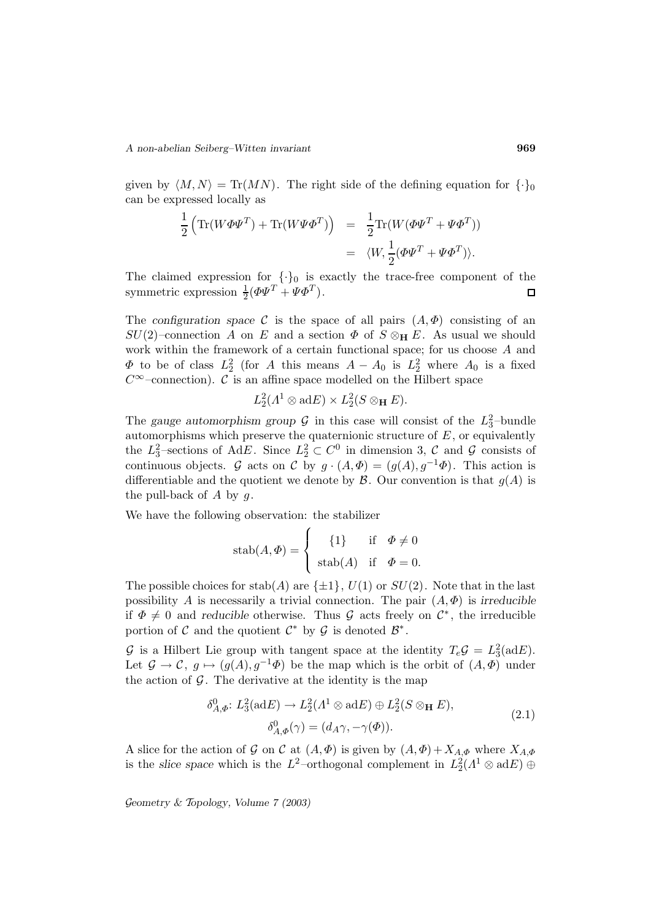given by  $\langle M,N \rangle = \text{Tr}(MN)$ . The right side of the defining equation for  $\{\cdot\}_0$ can be expressed locally as

$$
\frac{1}{2} \left( \text{Tr}(W \Phi \Psi^T) + \text{Tr}(W \Psi \Phi^T) \right) = \frac{1}{2} \text{Tr}(W (\Phi \Psi^T + \Psi \Phi^T))
$$
  
=  $\langle W, \frac{1}{2} (\Phi \Psi^T + \Psi \Phi^T) \rangle.$ 

The claimed expression for  $\{\cdot\}_0$  is exactly the trace-free component of the symmetric expression  $\frac{1}{2}(\Phi\Psi^T + \Psi\Phi^T)$ .  $\Box$ 

The *configuration space* C is the space of all pairs  $(A, \Phi)$  consisting of an  $SU(2)$ –connection A on E and a section  $\Phi$  of  $S \otimes_{\mathbf{H}} E$ . As usual we should work within the framework of a certain functional space; for us choose A and  $\Phi$  to be of class  $L_2^2$  (for A this means  $A - A_0$  is  $L_2^2$  where  $A_0$  is a fixed  $C^{\infty}$ –connection). C is an affine space modelled on the Hilbert space

$$
L_2^2(\Lambda^1\otimes\mathrm{ad}E)\times L_2^2(S\otimes_{\mathbf{H}}E).
$$

The *gauge automorphism group*  $\mathcal G$  in this case will consist of the  $L_3^2$ -bundle automorphisms which preserve the quaternionic structure of  $E$ , or equivalently the  $L_3^2$ -sections of AdE. Since  $L_2^2 \subset C^0$  in dimension 3, C and G consists of continuous objects. G acts on C by  $g \cdot (A, \Phi) = (g(A), g^{-1}\Phi)$ . This action is differentiable and the quotient we denote by  $\mathcal{B}$ . Our convention is that  $g(A)$  is the pull-back of  $A$  by  $q$ .

We have the following observation: the stabilizer

$$
\operatorname{stab}(A, \Phi) = \begin{cases} \{1\} & \text{if } \Phi \neq 0 \\ \operatorname{stab}(A) & \text{if } \Phi = 0. \end{cases}
$$

The possible choices for stab(A) are  $\{\pm 1\}$ ,  $U(1)$  or  $SU(2)$ . Note that in the last possibility A is necessarily a trivial connection. The pair  $(A, \Phi)$  is *irreducible* if  $\Phi \neq 0$  and *reducible* otherwise. Thus G acts freely on  $\mathcal{C}^*$ , the irreducible portion of C and the quotient  $\mathcal{C}^*$  by  $\mathcal G$  is denoted  $\mathcal{B}^*$ .

G is a Hilbert Lie group with tangent space at the identity  $T_e \mathcal{G} = L_3^2(\text{ad}E)$ . Let  $\mathcal{G} \to \mathcal{C}$ ,  $g \mapsto (g(A), g^{-1}\Phi)$  be the map which is the orbit of  $(A, \Phi)$  under the action of  $\mathcal G$ . The derivative at the identity is the map

$$
\delta_{A,\Phi}^0: L_3^2(\text{ad}E) \to L_2^2(\Lambda^1 \otimes \text{ad}E) \oplus L_2^2(S \otimes_{\mathbf{H}} E),
$$
  

$$
\delta_{A,\Phi}^0(\gamma) = (d_A \gamma, -\gamma(\Phi)).
$$
\n(2.1)

A slice for the action of G on C at  $(A, \Phi)$  is given by  $(A, \Phi) + X_{A, \Phi}$  where  $X_{A, \Phi}$ is the *slice space* which is the  $L^2$ -orthogonal complement in  $L_2^2(\Lambda^1 \otimes adE) \oplus$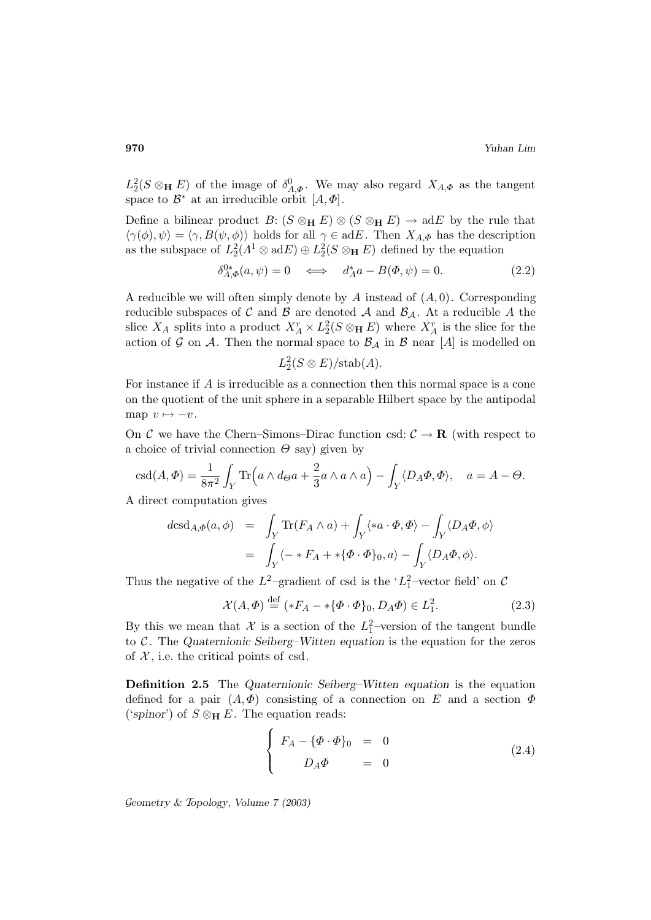$L_2^2(S \otimes_{\mathbf{H}} E)$  of the image of  $\delta_{A,\Phi}^0$ . We may also regard  $X_{A,\Phi}$  as the tangent space to  $\mathcal{B}^*$  at an irreducible orbit  $[A, \Phi]$ .

Define a bilinear product  $B: (S \otimes_{\mathbf{H}} E) \otimes (S \otimes_{\mathbf{H}} E) \to \text{ad}E$  by the rule that  $\langle \gamma(\phi), \psi \rangle = \langle \gamma, B(\psi, \phi) \rangle$  holds for all  $\gamma \in adE$ . Then  $X_{A,\Phi}$  has the description as the subspace of  $L_2^2(\Lambda^1 \otimes \text{ad} E) \oplus L_2^2(S \otimes_H E)$  defined by the equation

$$
\delta_{A,\Phi}^{0*}(a,\psi) = 0 \quad \Longleftrightarrow \quad d_A^* a - B(\Phi,\psi) = 0. \tag{2.2}
$$

A reducible we will often simply denote by A instead of  $(A, 0)$ . Corresponding reducible subspaces of C and B are denoted A and  $\mathcal{B}_{\mathcal{A}}$ . At a reducible A the slice  $X_A$  splits into a product  $X_A^r \times L_2^2(S \otimes_H E)$  where  $X_A^r$  is the slice for the action of G on A. Then the normal space to  $\mathcal{B}_{\mathcal{A}}$  in  $\mathcal{B}$  near [A] is modelled on

$$
L_2^2(S \otimes E)/\text{stab}(A).
$$

For instance if A is irreducible as a connection then this normal space is a cone on the quotient of the unit sphere in a separable Hilbert space by the antipodal map  $v \mapsto -v$ .

On C we have the Chern–Simons–Dirac function csd:  $C \rightarrow \mathbf{R}$  (with respect to a choice of trivial connection  $\Theta$  say) given by

$$
\operatorname{csd}(A, \Phi) = \frac{1}{8\pi^2} \int_Y \operatorname{Tr}\left(a \wedge d\Theta a + \frac{2}{3} a \wedge a \wedge a\right) - \int_Y \langle D_A \Phi, \Phi \rangle, \quad a = A - \Theta.
$$

A direct computation gives

$$
dcsd_{A,\Phi}(a,\phi) = \int_Y \text{Tr}(F_A \wedge a) + \int_Y \langle *a \cdot \Phi, \Phi \rangle - \int_Y \langle D_A \Phi, \phi \rangle
$$
  
= 
$$
\int_Y \langle - *F_A + * \{ \Phi \cdot \Phi \}_0, a \rangle - \int_Y \langle D_A \Phi, \phi \rangle.
$$

Thus the negative of the  $L^2$ -gradient of csd is the ' $L_1^2$ -vector field' on C

$$
\mathcal{X}(A,\Phi) \stackrel{\text{def}}{=} (*F_A - *{\Phi \cdot \Phi}_0, D_A \Phi) \in L^2_1.
$$
 (2.3)

By this we mean that  $\mathcal{X}$  is a section of the  $L_1^2$ -version of the tangent bundle to C . The *Quaternionic Seiberg–Witten equation* is the equation for the zeros of  $\mathcal{X}$ , i.e. the critical points of csd.

**Definition 2.5** The *Quaternionic Seiberg–Witten equation* is the equation defined for a pair  $(A, \Phi)$  consisting of a connection on E and a section  $\Phi$ ('spinor') of  $S \otimes_{\mathbf{H}} E$ . The equation reads:

$$
\begin{cases}\nF_A - \{\Phi \cdot \Phi\}_0 = 0 \\
D_A \Phi = 0\n\end{cases}
$$
\n(2.4)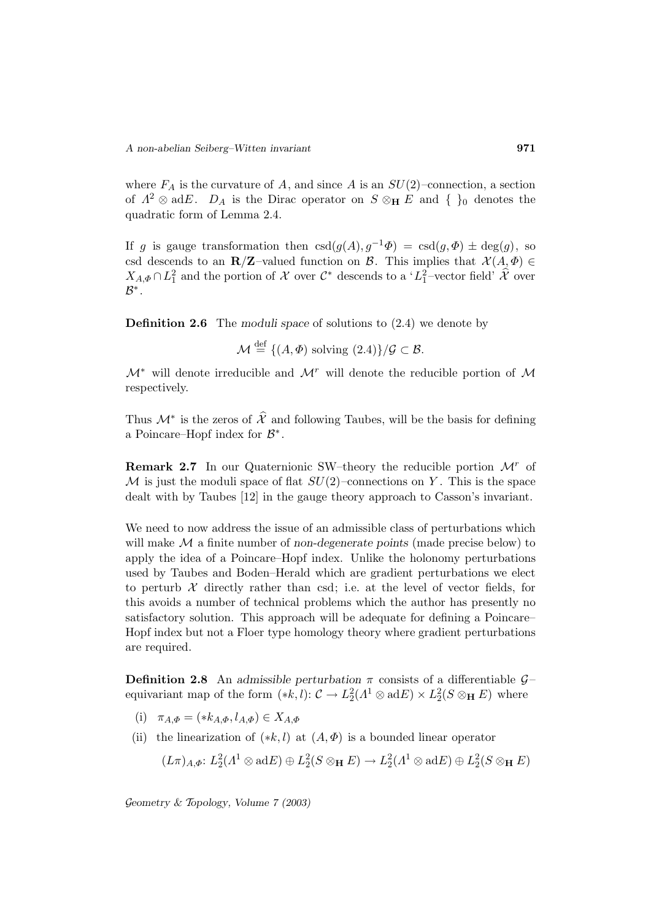where  $F_A$  is the curvature of A, and since A is an  $SU(2)$ –connection, a section of  $\Lambda^2 \otimes \text{ad}E$ .  $D_A$  is the Dirac operator on  $S \otimes_H E$  and  $\{\}_0$  denotes the quadratic form of Lemma 2.4.

If g is gauge transformation then  $csd(g(A), g^{-1}\Phi) = csd(g, \Phi) \pm deg(g)$ , so csd descends to an **R**/**Z**–valued function on B. This implies that  $\mathcal{X}(A,\Phi) \in$  $X_{A,\Phi} \cap L_1^2$  and the portion of  $\mathcal X$  over  $\mathcal C^*$  descends to a ' $L_1^2$ -vector field'  $\widehat{\mathcal X}$  over  $\mathcal{B}^*$  .

**Definition 2.6** The *moduli space* of solutions to (2.4) we denote by

 $\mathcal{M} \stackrel{\text{def}}{=} \{ (A, \Phi) \text{ solving } (2.4) \} / \mathcal{G} \subset \mathcal{B}.$ 

 $\mathcal{M}^*$  will denote irreducible and  $\mathcal{M}^r$  will denote the reducible portion of  $\mathcal M$ respectively.

Thus  $\mathcal{M}^*$  is the zeros of  $\hat{\mathcal{X}}$  and following Taubes, will be the basis for defining a Poincare–Hopf index for  $\mathcal{B}^*$ .

**Remark 2.7** In our Quaternionic SW–theory the reducible portion  $\mathcal{M}^r$  of M is just the moduli space of flat  $SU(2)$ –connections on Y. This is the space dealt with by Taubes [12] in the gauge theory approach to Casson's invariant.

We need to now address the issue of an admissible class of perturbations which will make M a finite number of *non-degenerate points* (made precise below) to apply the idea of a Poincare–Hopf index. Unlike the holonomy perturbations used by Taubes and Boden–Herald which are gradient perturbations we elect to perturb  $\mathcal X$  directly rather than csd; i.e. at the level of vector fields, for this avoids a number of technical problems which the author has presently no satisfactory solution. This approach will be adequate for defining a Poincare– Hopf index but not a Floer type homology theory where gradient perturbations are required.

**Definition 2.8** An *admissible perturbation*  $\pi$  consists of a differentiable  $\mathcal{G}$ equivariant map of the form  $(*k, l)$ :  $\mathcal{C} \to L_2^2(\Lambda^1 \otimes \text{ad} E) \times L_2^2(S \otimes_{\mathbf{H}} E)$  where

- (i)  $\pi_{A,\Phi} = (*k_{A,\Phi}, l_{A,\Phi}) \in X_{A,\Phi}$
- (ii) the linearization of  $(*k, l)$  at  $(A, \Phi)$  is a bounded linear operator

$$
(L\pi)_{A,\Phi}: L_2^2(\Lambda^1 \otimes \mathrm{ad} E) \oplus L_2^2(S \otimes_{\mathbf{H}} E) \to L_2^2(\Lambda^1 \otimes \mathrm{ad} E) \oplus L_2^2(S \otimes_{\mathbf{H}} E)
$$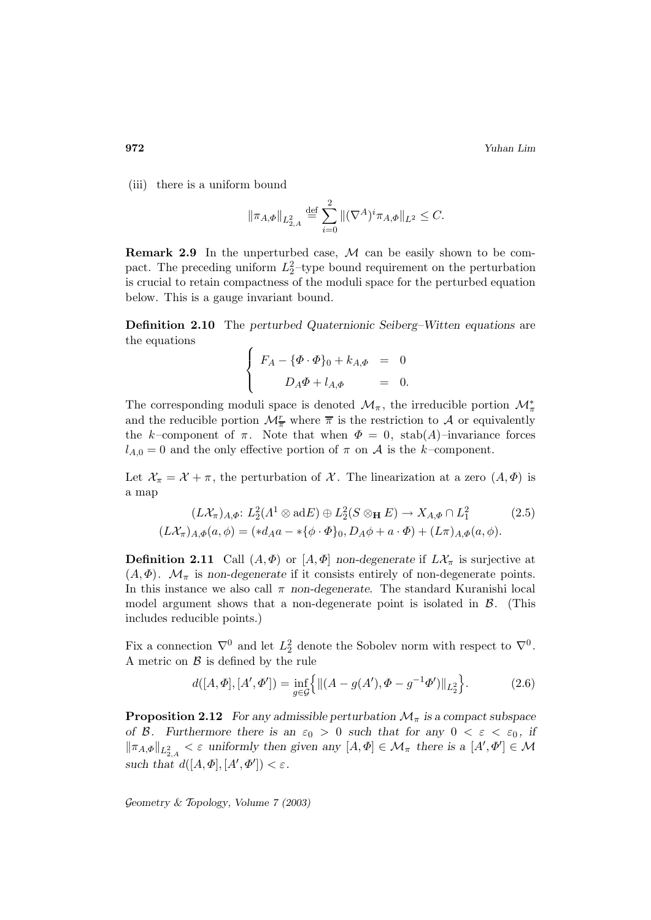(iii) there is a uniform bound

$$
\|\pi_{A,\varPhi}\|_{L^2_{2,A}}\overset{\mathrm{def}}{=}\sum_{i=0}^2\|(\nabla^A)^i\pi_{A,\varPhi}\|_{L^2}\leq C.
$$

**Remark 2.9** In the unperturbed case, M can be easily shown to be compact. The preceding uniform  $L_2^2$ -type bound requirement on the perturbation is crucial to retain compactness of the moduli space for the perturbed equation below. This is a gauge invariant bound.

**Definition 2.10** The *perturbed Quaternionic Seiberg–Witten equations* are the equations

$$
\begin{cases}\nF_A - \{\Phi \cdot \Phi\}_0 + k_{A,\Phi} = 0 \\
D_A \Phi + l_{A,\Phi} = 0.\n\end{cases}
$$

The corresponding moduli space is denoted  $\mathcal{M}_{\pi}$ , the irreducible portion  $\mathcal{M}_{\pi}^*$ and the reducible portion  $\mathcal{M}_{\overline{\pi}}^r$  where  $\overline{\pi}$  is the restriction to  $\mathcal A$  or equivalently the k–component of  $\pi$ . Note that when  $\Phi = 0$ , stab(A)–invariance forces  $l_{A,0} = 0$  and the only effective portion of  $\pi$  on  $A$  is the k-component.

Let  $\mathcal{X}_{\pi} = \mathcal{X} + \pi$ , the perturbation of  $\mathcal{X}$ . The linearization at a zero  $(A, \Phi)$  is a map

$$
(L\mathcal{X}_{\pi})_{A,\Phi}: L_2^2(\Lambda^1 \otimes \text{ad} E) \oplus L_2^2(S \otimes_{\mathbf{H}} E) \to X_{A,\Phi} \cap L_1^2
$$
 (2.5)  

$$
(L\mathcal{X}_{\pi})_{A,\Phi}(a,\phi) = (*d_A a - *{\phi \cdot \Phi}_0, D_A \phi + a \cdot \Phi) + (L\pi)_{A,\Phi}(a,\phi).
$$

**Definition 2.11** Call  $(A, \Phi)$  or  $[A, \Phi]$  *non-degenerate* if  $L\mathcal{X}_{\pi}$  is surjective at  $(A, \Phi)$ .  $\mathcal{M}_{\pi}$  is *non-degenerate* if it consists entirely of non-degenerate points. In this instance we also call  $\pi$  *non-degenerate*. The standard Kuranishi local model argument shows that a non-degenerate point is isolated in  $\beta$ . (This includes reducible points.)

Fix a connection  $\nabla^0$  and let  $L_2^2$  denote the Sobolev norm with respect to  $\nabla^0$ . A metric on  $\beta$  is defined by the rule

$$
d([A,\Phi],[A',\Phi']) = \inf_{g \in \mathcal{G}} \left\{ \|(A - g(A'),\Phi - g^{-1}\Phi')\|_{L_2^2} \right\}.
$$
 (2.6)

**Proposition 2.12** *For any admissible perturbation*  $\mathcal{M}_{\pi}$  *is a compact subspace of* B. Furthermore there is an  $\varepsilon_0 > 0$  such that for any  $0 < \varepsilon < \varepsilon_0$ , if  $\|\pi_{A,\Phi}\|_{L^2_{2,A}} < \varepsilon$  uniformly then given any  $[A,\Phi] \in \mathcal{M}_{\pi}$  there is a  $[A',\Phi'] \in \mathcal{M}$ such that  $d([A,\Phi],[A',\Phi']) < \varepsilon$ .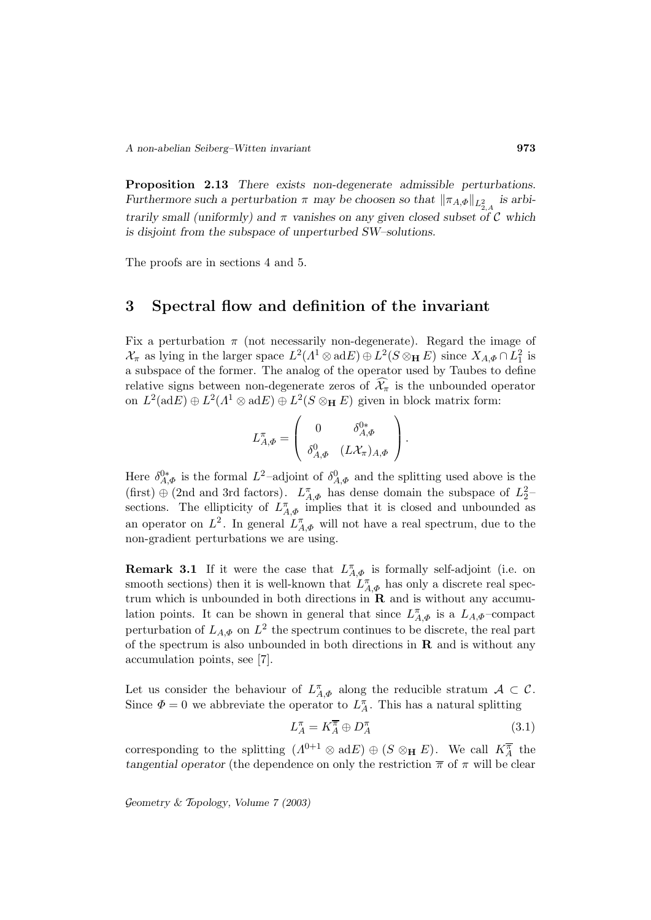**Proposition 2.13** *There exists non-degenerate admissible perturbations. Furthermore such a perturbation*  $\pi$  *may be choosen so that*  $\|\pi_{A,\Phi}\|_{L^2_{2,A}}$  *is arbitrarily small (uniformly) and* π *vanishes on any given closed subset of* C *which is disjoint from the subspace of unperturbed SW–solutions.*

The proofs are in sections 4 and 5.

## **3 Spectral flow and definition of the invariant**

Fix a perturbation  $\pi$  (not necessarily non-degenerate). Regard the image of  $\mathcal{X}_{\pi}$  as lying in the larger space  $L^2(\Lambda^1 \otimes \text{ad} E) \oplus L^2(S \otimes_{\mathbf{H}} E)$  since  $X_{A,\Phi} \cap L_1^2$  is a subspace of the former. The analog of the operator used by Taubes to define relative signs between non-degenerate zeros of  $\mathcal{X}_{\pi}$  is the unbounded operator on  $L^2(\text{ad}E) \oplus L^2(\Lambda^1 \otimes \text{ad}E) \oplus L^2(S \otimes_{\mathbf{H}} E)$  given in block matrix form:

$$
L_{A,\Phi}^{\pi} = \left(\begin{array}{cc} 0 & \delta_{A,\Phi}^{0*} \\ \delta_{A,\Phi}^{0} & (L\mathcal{X}_{\pi})_{A,\Phi} \end{array}\right).
$$

Here  $\delta_{A,\Phi}^{0*}$  is the formal  $L^2$ -adjoint of  $\delta_{A,\Phi}^0$  and the splitting used above is the (first)  $\oplus$  (2nd and 3rd factors).  $L_{A,\Phi}^{\pi}$  has dense domain the subspace of  $L_2^2$ sections. The ellipticity of  $L_{A,\Phi}^{\pi}$  implies that it is closed and unbounded as an operator on  $L^2$ . In general  $L_{A,\Phi}^{\pi}$  will not have a real spectrum, due to the non-gradient perturbations we are using.

**Remark 3.1** If it were the case that  $L_{A,\Phi}^{\pi}$  is formally self-adjoint (i.e. on smooth sections) then it is well-known that  $L_{A,\Phi}^{\pi}$  has only a discrete real spectrum which is unbounded in both directions in **R** and is without any accumulation points. It can be shown in general that since  $L_{A,\Phi}^{\pi}$  is a  $L_{A,\Phi}$ -compact perturbation of  $L_{A,\Phi}$  on  $L^2$  the spectrum continues to be discrete, the real part of the spectrum is also unbounded in both directions in **R** and is without any accumulation points, see [7].

Let us consider the behaviour of  $L_{A,\Phi}^{\pi}$  along the reducible stratum  $A \subset \mathcal{C}$ . Since  $\Phi = 0$  we abbreviate the operator to  $L_A^{\pi}$ . This has a natural splitting

$$
L_A^{\pi} = K_A^{\overline{\pi}} \oplus D_A^{\pi} \tag{3.1}
$$

corresponding to the splitting  $(A^{0+1} \otimes adE) \oplus (S \otimes_{\mathbf{H}} E)$ . We call  $K_A^{\overline{\pi}}$  the *tangential operator* (the dependence on only the restriction  $\bar{\pi}$  of  $\pi$  will be clear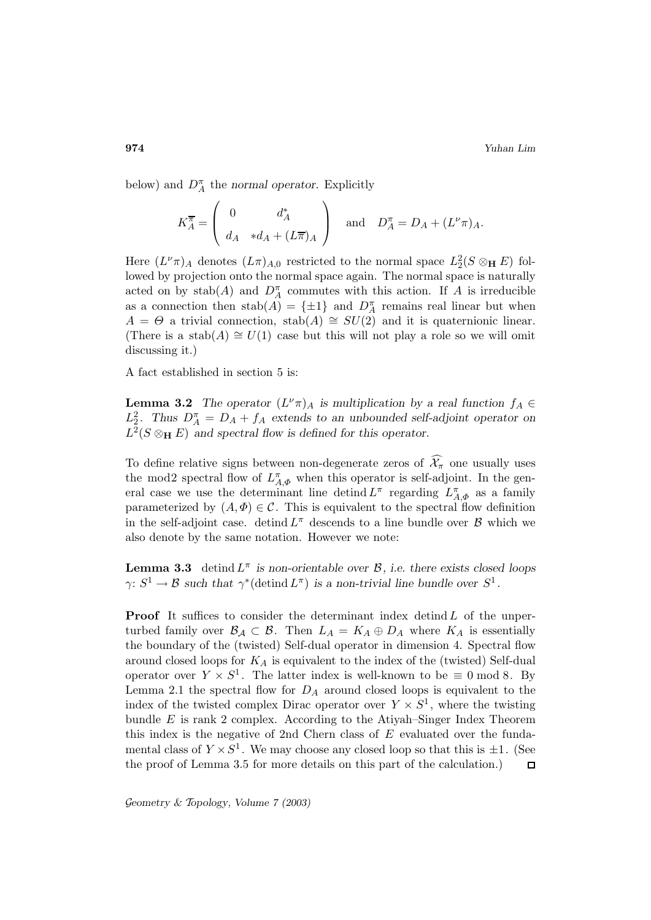below) and  $D_A^{\pi}$  the *normal operator*. Explicitly

$$
K_A^{\overline{\pi}} = \begin{pmatrix} 0 & d_A^* \\ d_A & *d_A + (L\overline{\pi})_A \end{pmatrix} \text{ and } D_A^{\pi} = D_A + (L^{\nu}\pi)_A.
$$

Here  $(L^{\nu}\pi)_{A}$  denotes  $(L\pi)_{A,0}$  restricted to the normal space  $L_2^2(S \otimes_{\mathbf{H}} E)$  followed by projection onto the normal space again. The normal space is naturally acted on by  $stab(A)$  and  $D_A^{\pi}$  commutes with this action. If A is irreducible as a connection then  $stab(A) = {\pm 1}$  and  $D_A^{\pi}$  remains real linear but when  $A = \Theta$  a trivial connection, stab(A)  $\cong SU(2)$  and it is quaternionic linear. (There is a stab(A)  $\cong$  U(1) case but this will not play a role so we will omit discussing it.)

A fact established in section 5 is:

**Lemma 3.2** *The operator*  $(L^{\nu}\pi)_{A}$  *is multiplication by a real function*  $f_{A} \in$  $L_2^2$ . Thus  $D_A^{\pi} = D_A + f_A$  extends to an unbounded self-adjoint operator on  $L^2(S \otimes_{\mathbf{H}} E)$  and spectral flow is defined for this operator.

To define relative signs between non-degenerate zeros of  $\mathcal{X}_{\pi}$  one usually uses the mod2 spectral flow of  $L_{A,\Phi}^{\pi}$  when this operator is self-adjoint. In the general case we use the determinant line detind  $L^{\pi}$  regarding  $L^{\pi}_{A,\Phi}$  as a family parameterized by  $(A, \Phi) \in \mathcal{C}$ . This is equivalent to the spectral flow definition in the self-adjoint case. detind  $L^{\pi}$  descends to a line bundle over  $\beta$  which we also denote by the same notation. However we note:

**Lemma 3.3** detind  $L^{\pi}$  *is non-orientable over*  $\mathcal{B}$ *, i.e. there exists closed loops*  $\gamma: S^1 \to \mathcal{B}$  *such that*  $\gamma^*$ (detind  $L^{\pi}$ ) *is a non-trivial line bundle over*  $S^1$ *.* 

**Proof** It suffices to consider the determinant index detind  $L$  of the unperturbed family over  $\mathcal{B}_\mathcal{A} \subset \mathcal{B}$ . Then  $L_A = K_A \oplus D_A$  where  $K_A$  is essentially the boundary of the (twisted) Self-dual operator in dimension 4. Spectral flow around closed loops for  $K_A$  is equivalent to the index of the (twisted) Self-dual operator over  $Y \times S^1$ . The latter index is well-known to be  $\equiv 0 \mod 8$ . By Lemma 2.1 the spectral flow for  $D_A$  around closed loops is equivalent to the index of the twisted complex Dirac operator over  $Y \times S^1$ , where the twisting bundle  $E$  is rank 2 complex. According to the Atiyah–Singer Index Theorem this index is the negative of 2nd Chern class of E evaluated over the fundamental class of  $Y \times S^1$ . We may choose any closed loop so that this is  $\pm 1$ . (See the proof of Lemma 3.5 for more details on this part of the calculation.)  $\Box$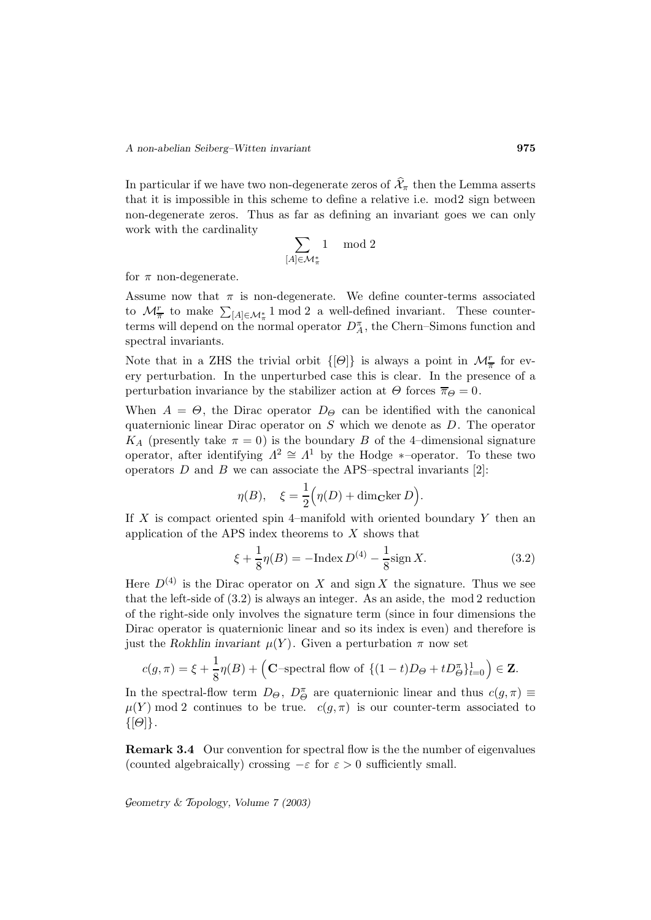In particular if we have two non-degenerate zeros of  $\mathcal{X}_{\pi}$  then the Lemma asserts that it is impossible in this scheme to define a relative i.e. mod2 sign between non-degenerate zeros. Thus as far as defining an invariant goes we can only work with the cardinality

$$
\sum_{[A]\in\mathcal{M}_\pi^*}1\ \mod 2
$$

for  $\pi$  non-degenerate.

Assume now that  $\pi$  is non-degenerate. We define counter-terms associated to  $\mathcal{M}_{\overline{\pi}}^r$  to make  $\sum_{[A]\in\mathcal{M}_{\pi}^*}1 \mod 2$  a well-defined invariant. These counterterms will depend on the normal operator  $D_A^{\pi}$ , the Chern–Simons function and spectral invariants.

Note that in a ZHS the trivial orbit  $\{\Theta\}$  is always a point in  $\mathcal{M}_{\overline{n}}^r$  for every perturbation. In the unperturbed case this is clear. In the presence of a perturbation invariance by the stabilizer action at  $\Theta$  forces  $\overline{\pi}_{\Theta} = 0$ .

When  $A = \Theta$ , the Dirac operator  $D_{\Theta}$  can be identified with the canonical quaternionic linear Dirac operator on S which we denote as D. The operator  $K_A$  (presently take  $\pi = 0$ ) is the boundary B of the 4-dimensional signature operator, after identifying  $\Lambda^2 \cong \Lambda^1$  by the Hodge \*-operator. To these two operators  $D$  and  $B$  we can associate the APS–spectral invariants [2]:

$$
\eta(B), \quad \xi = \frac{1}{2} \Big( \eta(D) + \dim_{\mathbf{C}} \ker D \Big).
$$

If  $X$  is compact oriented spin 4–manifold with oriented boundary  $Y$  then an application of the APS index theorems to  $X$  shows that

$$
\xi + \frac{1}{8}\eta(B) = -\text{Index } D^{(4)} - \frac{1}{8}\text{sign } X. \tag{3.2}
$$

Here  $D^{(4)}$  is the Dirac operator on X and sign X the signature. Thus we see that the left-side of (3.2) is always an integer. As an aside, the mod 2 reduction of the right-side only involves the signature term (since in four dimensions the Dirac operator is quaternionic linear and so its index is even) and therefore is just the *Rokhlin invariant*  $\mu(Y)$ . Given a perturbation  $\pi$  now set

$$
c(g,\pi) = \xi + \frac{1}{8}\eta(B) + \left(\mathbf{C} - \text{spectral flow of }\{(1-t)D_{\Theta} + tD_{\Theta}^{\pi}\}_{t=0}^{1}\right) \in \mathbf{Z}.
$$

In the spectral-flow term  $D_{\Theta}$ ,  $D_{\Theta}^{\pi}$  are quaternionic linear and thus  $c(g, \pi) \equiv$  $\mu(Y)$  mod 2 continues to be true.  $c(g, \pi)$  is our counter-term associated to  $\{[\Theta]\}.$ 

**Remark 3.4** Our convention for spectral flow is the the number of eigenvalues (counted algebraically) crossing  $-\varepsilon$  for  $\varepsilon > 0$  sufficiently small.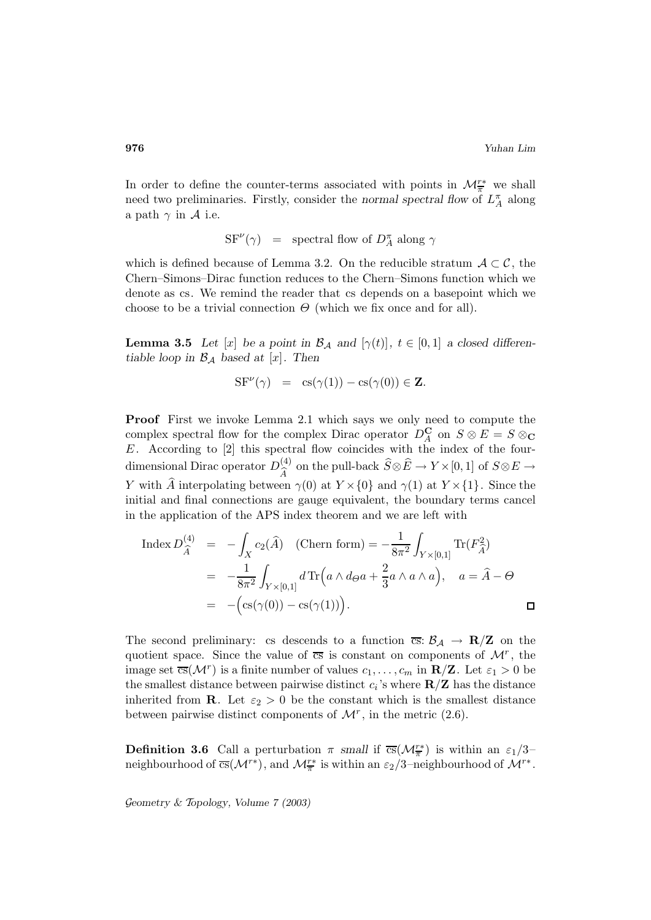In order to define the counter-terms associated with points in  $\mathcal{M}^{r*}_{\overline{n}}$  we shall need two preliminaries. Firstly, consider the *normal spectral flow* of  $L_A^{\pi}$  along a path  $\gamma$  in A i.e.

 $SF^{\nu}(\gamma)$  = spectral flow of  $D_A^{\pi}$  along  $\gamma$ 

which is defined because of Lemma 3.2. On the reducible stratum  $A\subset\mathcal{C}$ , the Chern–Simons–Dirac function reduces to the Chern–Simons function which we denote as cs. We remind the reader that cs depends on a basepoint which we choose to be a trivial connection  $\Theta$  (which we fix once and for all).

**Lemma 3.5** *Let* [x] *be a point in*  $\mathcal{B}_\mathcal{A}$  *and* [ $\gamma(t)$ ],  $t \in [0,1]$  *a closed differentiable loop in*  $\mathcal{B}_{\mathcal{A}}$  *based at* [x]. Then

$$
SF^{\nu}(\gamma) = cs(\gamma(1)) - cs(\gamma(0)) \in \mathbf{Z}.
$$

**Proof** First we invoke Lemma 2.1 which says we only need to compute the complex spectral flow for the complex Dirac operator  $D_A^{\mathbf{C}}$  on  $S \otimes E = S \otimes_{\mathbf{C}} S$ E. According to [2] this spectral flow coincides with the index of the fourdimensional Dirac operator  $D_{\widehat{A}}^{(4)}$  on the pull-back  $\widehat{S} \otimes \widehat{E} \to Y \times [0,1]$  of  $S \otimes E \to Y$ <br>W with  $\widehat{A}$  interpolating between  $\widehat{\alpha}(0)$  at  $V \times [0]$  and  $\widehat{\alpha}(1)$  at  $V \times [1]$ . Since the Y with  $\hat{A}$  interpolating between  $\gamma(0)$  at  $Y \times \{0\}$  and  $\gamma(1)$  at  $Y \times \{1\}$ . Since the initial and final connections are gauge equivalent, the boundary terms cancel in the application of the APS index theorem and we are left with

$$
\begin{array}{rcl}\n\text{Index } D_{\widehat{A}}^{(4)} & = & -\int_X c_2(\widehat{A}) \quad \text{(Chern form)} = -\frac{1}{8\pi^2} \int_{Y \times [0,1]} \text{Tr}(F_{\widehat{A}}^2) \\
& = & -\frac{1}{8\pi^2} \int_{Y \times [0,1]} d \text{Tr}\left(a \wedge d\varphi a + \frac{2}{3} a \wedge a \wedge a\right), \quad a = \widehat{A} - \Theta \\
& = & -\left(\text{cs}(\gamma(0)) - \text{cs}(\gamma(1))\right).\n\end{array}
$$

The second preliminary: cs descends to a function  $\overline{cs}$ :  $\mathcal{B}_\mathcal{A} \to \mathbf{R}/\mathbf{Z}$  on the quotient space. Since the value of  $\overline{cs}$  is constant on components of  $\mathcal{M}^r$ , the image set  $\overline{\text{cs}}(\mathcal{M}^r)$  is a finite number of values  $c_1,\ldots,c_m$  in  $\mathbf{R}/\mathbf{Z}$ . Let  $\varepsilon_1 > 0$  be the smallest distance between pairwise distinct  $c_i$ 's where  $\mathbf{R}/\mathbf{Z}$  has the distance inherited from **R**. Let  $\varepsilon_2 > 0$  be the constant which is the smallest distance between pairwise distinct components of  $\mathcal{M}^r$ , in the metric (2.6).

**Definition 3.6** Call a perturbation  $\pi$  *small* if  $\overline{cs}(\mathcal{M}_{\overline{\pi}}^{r*})$  is within an  $\varepsilon_1/3$ – neighbourhood of  $\overline{cs}(\mathcal{M}^{r*})$ , and  $\mathcal{M}^{r*}_{\overline{n}}$  is within an  $\varepsilon_2/3$ -neighbourhood of  $\mathcal{M}^{r*}$ .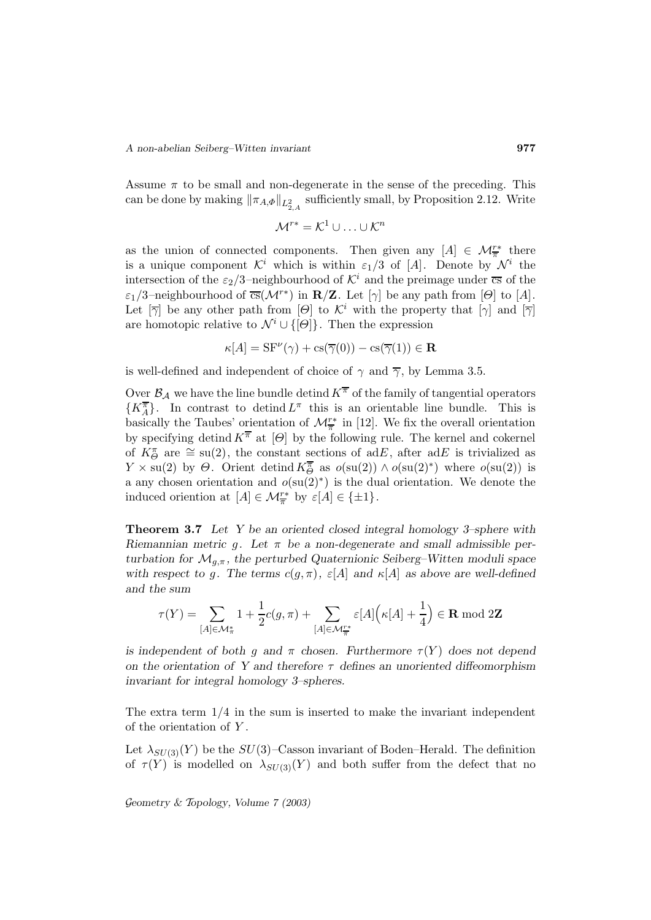Assume  $\pi$  to be small and non-degenerate in the sense of the preceding. This can be done by making  $\|\pi_{A,\Phi}\|_{L^2_{2,A}}$  sufficiently small, by Proposition 2.12. Write

$$
\mathcal{M}^{r*} = \mathcal{K}^1 \cup \ldots \cup \mathcal{K}^n
$$

as the union of connected components. Then given any  $[A] \in \mathcal{M}_{\overline{\pi}}^{r*}$  there is a unique component  $\mathcal{K}^i$  which is within  $\varepsilon_1/3$  of [A]. Denote by  $\mathcal{N}^i$  the intersection of the  $\varepsilon_2/3$ -neighbourhood of  $\mathcal{K}^i$  and the preimage under  $\overline{cs}$  of the  $\varepsilon_1/3$ –neighbourhood of  $\overline{\text{cs}}(\mathcal{M}^{r*})$  in  $\mathbf{R}/\mathbf{Z}$ . Let  $[\gamma]$  be any path from  $[\Theta]$  to  $[A]$ . Let  $[\overline{\gamma}]$  be any other path from  $[\Theta]$  to  $\mathcal{K}^i$  with the property that  $[\gamma]$  and  $[\overline{\gamma}]$ are homotopic relative to  $\mathcal{N}^i \cup \{[\Theta]\}\$ . Then the expression

$$
\kappa[A] = \mathcal{S}F^{\nu}(\gamma) + \mathcal{C}\mathcal{S}(\overline{\gamma}(0)) - \mathcal{C}\mathcal{S}(\overline{\gamma}(1)) \in \mathbf{R}
$$

is well-defined and independent of choice of  $\gamma$  and  $\overline{\gamma}$ , by Lemma 3.5.

Over  $\mathcal{B}_\mathcal{A}$  we have the line bundle detind  $K^{\overline{\pi}}$  of the family of tangential operators  $\{K_A^{\overline{\pi}}\}\.$  In contrast to detind  $L^{\pi}$  this is an orientable line bundle. This is basically the Taubes' orientation of  $\mathcal{M}^{r*}_{\overline{n}}$  in [12]. We fix the overall orientation by specifying detind  $K^{\overline{\pi}}$  at  $[\Theta]$  by the following rule. The kernel and cokernel of  $K^{\pi}_{\Theta}$  are  $\cong$  su(2), the constant sections of adE, after adE is trivialized as  $Y \times \text{su}(2)$  by  $\Theta$ . Orient detind  $K^{\overline{\sigma}}_{\Theta}$  as  $o(\text{su}(2)) \wedge o(\text{su}(2)^*)$  where  $o(\text{su}(2))$  is a any chosen orientation and  $o(su(2)^*)$  is the dual orientation. We denote the induced oriention at  $[A] \in \mathcal{M}_{\overline{\pi}}^{r*}$  by  $\varepsilon[A] \in {\pm 1}$ .

**Theorem 3.7** *Let Y be an oriented closed integral homology 3–sphere with Riemannian metric* g*. Let* π *be a non-degenerate and small admissible perturbation for*  $\mathcal{M}_{q,\pi}$ , the perturbed Quaternionic Seiberg–Witten moduli space *with respect to g. The terms*  $c(g, \pi)$ ,  $\varepsilon[A]$  *and*  $\kappa[A]$  *as above are well-defined and the sum*

$$
\tau(Y)=\sum_{[A]\in \mathcal{M}_\pi^*}1+\frac{1}{2}c(g,\pi)+\sum_{[A]\in \mathcal{M}_\pi^{r*}}\varepsilon[A]\Big(\kappa[A]+\frac{1}{4}\Big)\in {\bf R} \bmod 2{\bf Z}
$$

*is independent of both* g and  $\pi$  *chosen.* Furthermore  $\tau(Y)$  does not depend *on the orientation of Y and therefore* τ *defines an unoriented diffeomorphism invariant for integral homology 3–spheres.*

The extra term 1/4 in the sum is inserted to make the invariant independent of the orientation of  $Y$ .

Let  $\lambda_{SU(3)}(Y)$  be the  $SU(3)$ –Casson invariant of Boden–Herald. The definition of  $\tau(Y)$  is modelled on  $\lambda_{SU(3)}(Y)$  and both suffer from the defect that no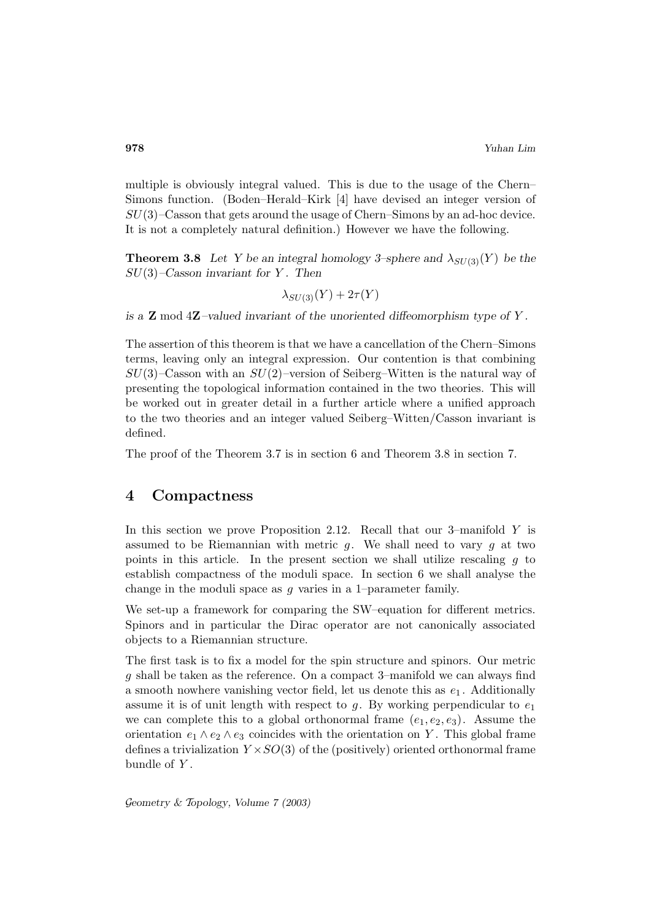multiple is obviously integral valued. This is due to the usage of the Chern– Simons function. (Boden–Herald–Kirk [4] have devised an integer version of  $SU(3)$ –Casson that gets around the usage of Chern–Simons by an ad-hoc device. It is not a completely natural definition.) However we have the following.

**Theorem 3.8** Let Y be an integral homology 3–sphere and  $\lambda_{\text{S}U(3)}(Y)$  be the SU(3)*–Casson invariant for* Y *. Then*

$$
\lambda_{SU(3)}(Y) + 2\tau(Y)
$$

*is a* **Z** mod 4**Z***–valued invariant of the unoriented diffeomorphism type of* Y *.*

The assertion of this theorem is that we have a cancellation of the Chern–Simons terms, leaving only an integral expression. Our contention is that combining  $SU(3)$ –Casson with an  $SU(2)$ –version of Seiberg–Witten is the natural way of presenting the topological information contained in the two theories. This will be worked out in greater detail in a further article where a unified approach to the two theories and an integer valued Seiberg–Witten/Casson invariant is defined.

The proof of the Theorem 3.7 is in section 6 and Theorem 3.8 in section 7.

## **4 Compactness**

In this section we prove Proposition 2.12. Recall that our 3–manifold Y is assumed to be Riemannian with metric  $g$ . We shall need to vary  $g$  at two points in this article. In the present section we shall utilize rescaling  $g$  to establish compactness of the moduli space. In section 6 we shall analyse the change in the moduli space as  $g$  varies in a 1–parameter family.

We set-up a framework for comparing the SW–equation for different metrics. Spinors and in particular the Dirac operator are not canonically associated objects to a Riemannian structure.

The first task is to fix a model for the spin structure and spinors. Our metric g shall be taken as the reference. On a compact 3–manifold we can always find a smooth nowhere vanishing vector field, let us denote this as  $e_1$ . Additionally assume it is of unit length with respect to g. By working perpendicular to  $e_1$ we can complete this to a global orthonormal frame  $(e_1, e_2, e_3)$ . Assume the orientation  $e_1 \wedge e_2 \wedge e_3$  coincides with the orientation on Y. This global frame defines a trivialization  $Y \times SO(3)$  of the (positively) oriented orthonormal frame bundle of  $Y$ .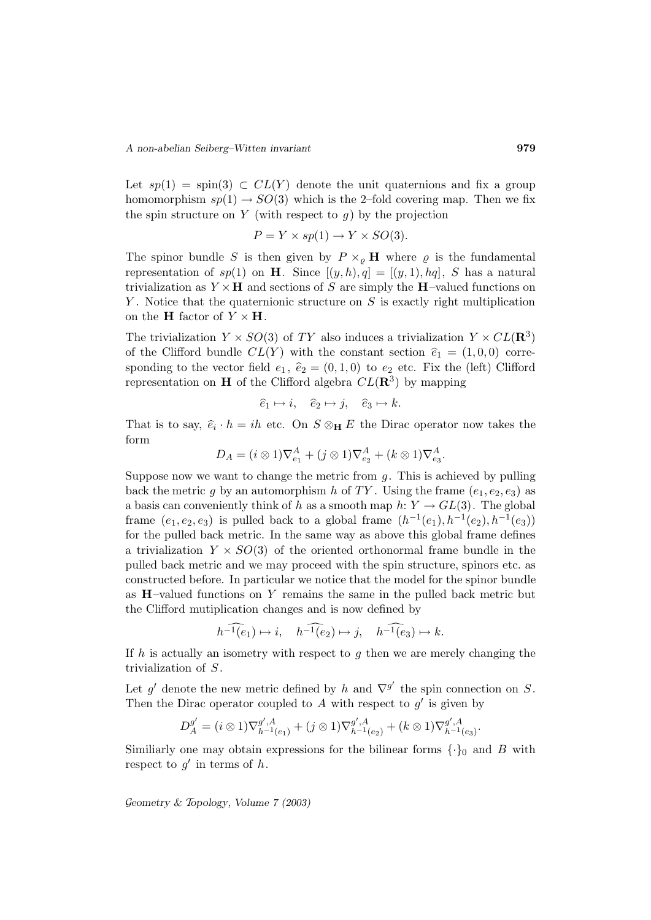Let  $sp(1) = spin(3) \subset CL(Y)$  denote the unit quaternions and fix a group homomorphism  $sp(1) \rightarrow SO(3)$  which is the 2-fold covering map. Then we fix the spin structure on Y (with respect to  $q$ ) by the projection

$$
P = Y \times sp(1) \to Y \times SO(3).
$$

The spinor bundle S is then given by  $P \times_{\rho} \mathbf{H}$  where  $\rho$  is the fundamental representation of  $sp(1)$  on **H**. Since  $[(y, h), q] = [(y, 1), hq]$ , S has a natural trivialization as  $Y \times \mathbf{H}$  and sections of S are simply the **H**-valued functions on Y. Notice that the quaternionic structure on  $S$  is exactly right multiplication on the **H** factor of  $Y \times H$ .

The trivialization  $Y \times SO(3)$  of TY also induces a trivialization  $Y \times CL(\mathbf{R}^3)$ of the Clifford bundle  $CL(Y)$  with the constant section  $\hat{e}_1 = (1, 0, 0)$  corresponding to the vector field  $e_1$ ,  $\hat{e}_2 = (0, 1, 0)$  to  $e_2$  etc. Fix the (left) Clifford representation on **H** of the Clifford algebra  $CL(\mathbb{R}^3)$  by mapping

$$
\hat{e}_1 \mapsto i, \quad \hat{e}_2 \mapsto j, \quad \hat{e}_3 \mapsto k.
$$

That is to say,  $\hat{e}_i \cdot h = ih$  etc. On  $S \otimes_H E$  the Dirac operator now takes the form

$$
D_A = (i \otimes 1)\nabla_{e_1}^A + (j \otimes 1)\nabla_{e_2}^A + (k \otimes 1)\nabla_{e_3}^A.
$$

Suppose now we want to change the metric from  $g$ . This is achieved by pulling back the metric g by an automorphism h of TY. Using the frame  $(e_1, e_2, e_3)$  as a basis can conveniently think of h as a smooth map  $h: Y \to GL(3)$ . The global frame  $(e_1, e_2, e_3)$  is pulled back to a global frame  $(h^{-1}(e_1), h^{-1}(e_2), h^{-1}(e_3))$ for the pulled back metric. In the same way as above this global frame defines a trivialization  $Y \times SO(3)$  of the oriented orthonormal frame bundle in the pulled back metric and we may proceed with the spin structure, spinors etc. as constructed before. In particular we notice that the model for the spinor bundle as  $H$ –valued functions on Y remains the same in the pulled back metric but the Clifford mutiplication changes and is now defined by

$$
h^{-1}(e_1) \mapsto i, \quad h^{-1}(e_2) \mapsto j, \quad h^{-1}(e_3) \mapsto k.
$$

If h is actually an isometry with respect to  $g$  then we are merely changing the trivialization of S.

Let g' denote the new metric defined by h and  $\nabla^{g'}$  the spin connection on S. Then the Dirac operator coupled to A with respect to  $g'$  is given by

$$
D_A^{g'} = (i \otimes 1)\nabla_{h^{-1}(e_1)}^{g',A} + (j \otimes 1)\nabla_{h^{-1}(e_2)}^{g',A} + (k \otimes 1)\nabla_{h^{-1}(e_3)}^{g',A}.
$$

Similiarly one may obtain expressions for the bilinear forms  $\{\cdot\}_0$  and B with respect to  $g'$  in terms of h.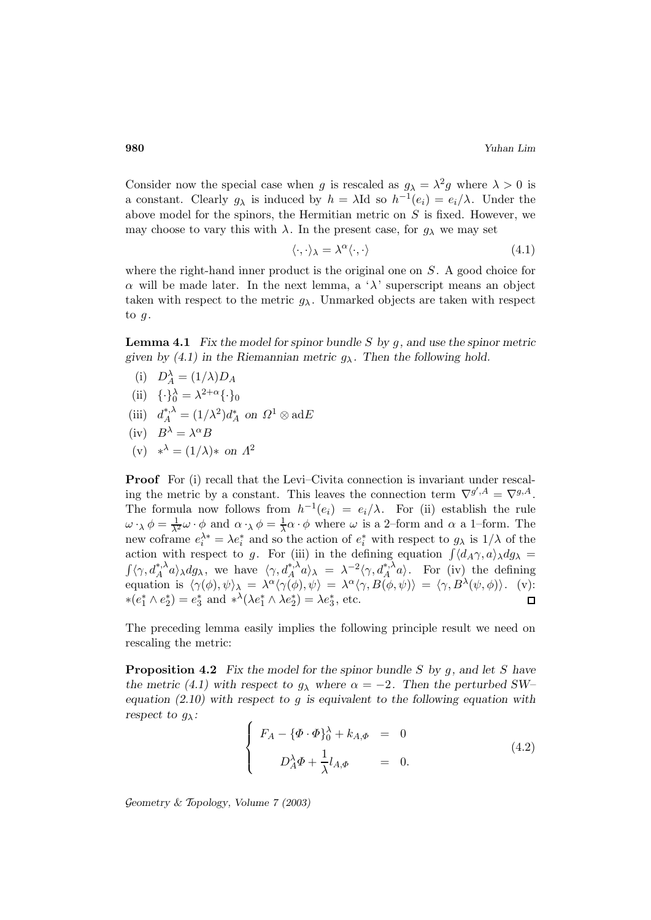Consider now the special case when g is rescaled as  $g_{\lambda} = \lambda^2 g$  where  $\lambda > 0$  is a constant. Clearly  $g_{\lambda}$  is induced by  $h = \lambda \text{Id}$  so  $h^{-1}(e_i) = e_i/\lambda$ . Under the above model for the spinors, the Hermitian metric on  $S$  is fixed. However, we may choose to vary this with  $\lambda$ . In the present case, for  $g_{\lambda}$  we may set

$$
\langle \cdot, \cdot \rangle_{\lambda} = \lambda^{\alpha} \langle \cdot, \cdot \rangle \tag{4.1}
$$

where the right-hand inner product is the original one on  $S$ . A good choice for  $\alpha$  will be made later. In the next lemma, a ' $\lambda$ ' superscript means an object taken with respect to the metric  $g_{\lambda}$ . Unmarked objects are taken with respect to  $g$ .

**Lemma 4.1** *Fix the model for spinor bundle* S *by* g*, and use the spinor metric* given by (4.1) in the Riemannian metric  $g_{\lambda}$ . Then the following hold.

- (i)  $D_A^{\lambda} = (1/\lambda)D_A$
- (ii)  $\{\cdot\}_0^{\lambda} = \lambda^{2+\alpha} \{\cdot\}_0$
- (iii)  $d_A^{*,\lambda} = (1/\lambda^2)d_A^*$  on  $\Omega^1 \otimes \text{ad}E$
- (iv)  $B^{\lambda} = \lambda^{\alpha} B$
- (v)  $*^{\lambda} = (1/\lambda) *$  *on*  $\Lambda^2$

**Proof** For (i) recall that the Levi–Civita connection is invariant under rescaling the metric by a constant. This leaves the connection term  $\nabla^{g',A} = \nabla^{g,A}.$ The formula now follows from  $h^{-1}(e_i) = e_i/\lambda$ . For (ii) establish the rule  $\omega \cdot_{\lambda} \phi = \frac{1}{\lambda^2} \omega \cdot \phi$  and  $\alpha \cdot_{\lambda} \phi = \frac{1}{\lambda} \alpha \cdot \phi$  where  $\omega$  is a 2-form and  $\alpha$  a 1-form. The new coframe  $e_i^{\lambda *} = \lambda e_i^*$  and so the action of  $e_i^*$  with respect to  $g_\lambda$  is  $1/\lambda$  of the action with respect to g. For (iii) in the defining equation  $\int \langle d_A \gamma, a \rangle_{\lambda} dg_{\lambda} =$  $\int \langle \gamma, d_A^{*,\lambda} a \rangle_{\lambda} dg_{\lambda}$ , we have  $\langle \gamma, d_A^{*,\lambda} a \rangle_{\lambda} = \lambda^{-2} \langle \gamma, d_A^{*,\lambda} a \rangle$ . For (iv) the defining equation is  $\langle \gamma(\phi), \psi \rangle_{\lambda} = \lambda^{\alpha} \langle \gamma(\phi), \psi \rangle = \lambda^{\alpha} \langle \gamma, B(\phi, \psi) \rangle = \langle \gamma, B^{\lambda}(\psi, \phi) \rangle$ . (v): \* $(e_1^* \wedge e_2^*) = e_3^*$  and \*<sup> $\lambda$ </sup>( $\lambda e_1^* \wedge \lambda e_2^*$ ) =  $\lambda e_3^*$ , etc.

The preceding lemma easily implies the following principle result we need on rescaling the metric:

**Proposition 4.2** *Fix the model for the spinor bundle* S *by* g*, and let* S *have the metric (4.1) with respect to*  $g_{\lambda}$  *where*  $\alpha = -2$ *. Then the perturbed SW– equation (2.10) with respect to* g *is equivalent to the following equation with respect to*  $g_{\lambda}$ *:* 

$$
\begin{cases}\nF_A - \{\Phi \cdot \Phi\}_0^{\lambda} + k_{A,\Phi} = 0 \\
D_A^{\lambda} \Phi + \frac{1}{\lambda} l_{A,\Phi} = 0.\n\end{cases}
$$
\n(4.2)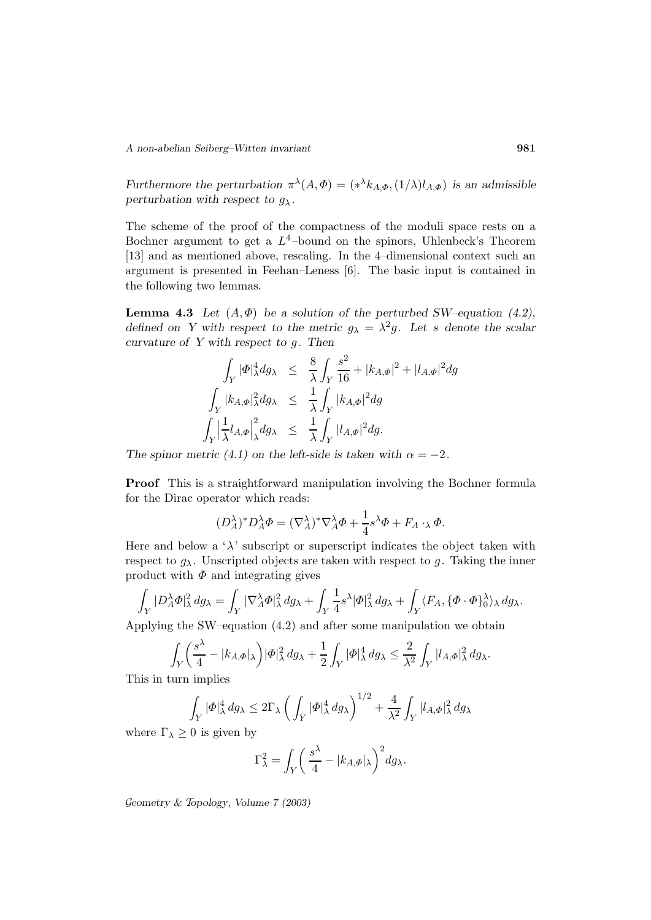*Furthermore the perturbation*  $\pi^{\lambda}(A, \Phi) = (*\lambda k_{A,\Phi}, (1/\lambda)l_{A,\Phi})$  *is an admissible perturbation with respect to*  $g_{\lambda}$ *.* 

The scheme of the proof of the compactness of the moduli space rests on a Bochner argument to get a  $L^4$ -bound on the spinors, Uhlenbeck's Theorem [13] and as mentioned above, rescaling. In the 4–dimensional context such an argument is presented in Feehan–Leness [6]. The basic input is contained in the following two lemmas.

**Lemma 4.3** *Let*  $(A, \Phi)$  *be a solution of the perturbed SW–equation (4.2), defined on Y with respect to the metric*  $g_{\lambda} = \lambda^2 g$ . Let s denote the scalar *curvature of Y with respect to* g*. Then*

$$
\int_{Y} |\Phi|_{\lambda}^{4} dg_{\lambda} \leq \frac{8}{\lambda} \int_{Y} \frac{s^{2}}{16} + |k_{A,\Phi}|^{2} + |l_{A,\Phi}|^{2} dg
$$
  

$$
\int_{Y} |k_{A,\Phi}|_{\lambda}^{2} dg_{\lambda} \leq \frac{1}{\lambda} \int_{Y} |k_{A,\Phi}|^{2} dg
$$
  

$$
\int_{Y} \left| \frac{1}{\lambda} l_{A,\Phi} \right|_{\lambda}^{2} dg_{\lambda} \leq \frac{1}{\lambda} \int_{Y} |l_{A,\Phi}|^{2} dg.
$$

*The spinor metric (4.1) on the left-side is taken with*  $\alpha = -2$ *.* 

**Proof** This is a straightforward manipulation involving the Bochner formula for the Dirac operator which reads:

$$
(D_A^{\lambda})^* D_A^{\lambda} \Phi = (\nabla_A^{\lambda})^* \nabla_A^{\lambda} \Phi + \frac{1}{4} s^{\lambda} \Phi + F_A \cdot_{\lambda} \Phi.
$$

Here and below a ' $\lambda$ ' subscript or superscript indicates the object taken with respect to  $g_{\lambda}$ . Unscripted objects are taken with respect to g. Taking the inner product with  $\Phi$  and integrating gives

$$
\int_Y |D_A^{\lambda} \Phi|_{\lambda}^2 dg_{\lambda} = \int_Y |\nabla_A^{\lambda} \Phi|_{\lambda}^2 dg_{\lambda} + \int_Y \frac{1}{4} s^{\lambda} |\Phi|_{\lambda}^2 dg_{\lambda} + \int_Y \langle F_A, {\{\Phi \cdot \Phi\}}_{0}^{\lambda} \rangle_{\lambda} dg_{\lambda}.
$$

Applying the SW–equation (4.2) and after some manipulation we obtain

$$
\int_Y \left(\frac{s^\lambda}{4} - |k_{A,\varPhi}|_\lambda\right) |\varPhi|_\lambda^2\, dg_\lambda + \frac{1}{2} \int_Y |\varPhi|_\lambda^4\, dg_\lambda \leq \frac{2}{\lambda^2} \int_Y |l_{A,\varPhi}|_\lambda^2\, dg_\lambda.
$$

This in turn implies

$$
\int_Y |\Phi|_\lambda^4 dg_\lambda \le 2\Gamma_\lambda \left(\int_Y |\Phi|_\lambda^4 dg_\lambda\right)^{1/2} + \frac{4}{\lambda^2} \int_Y |l_{A,\Phi}|_\lambda^2 dg_\lambda
$$

where  $\Gamma_{\lambda} \geq 0$  is given by

$$
\Gamma_{\lambda}^{2} = \int_{Y} \left( \frac{s^{\lambda}}{4} - |k_{A,\Phi}|_{\lambda} \right)^{2} dg_{\lambda}.
$$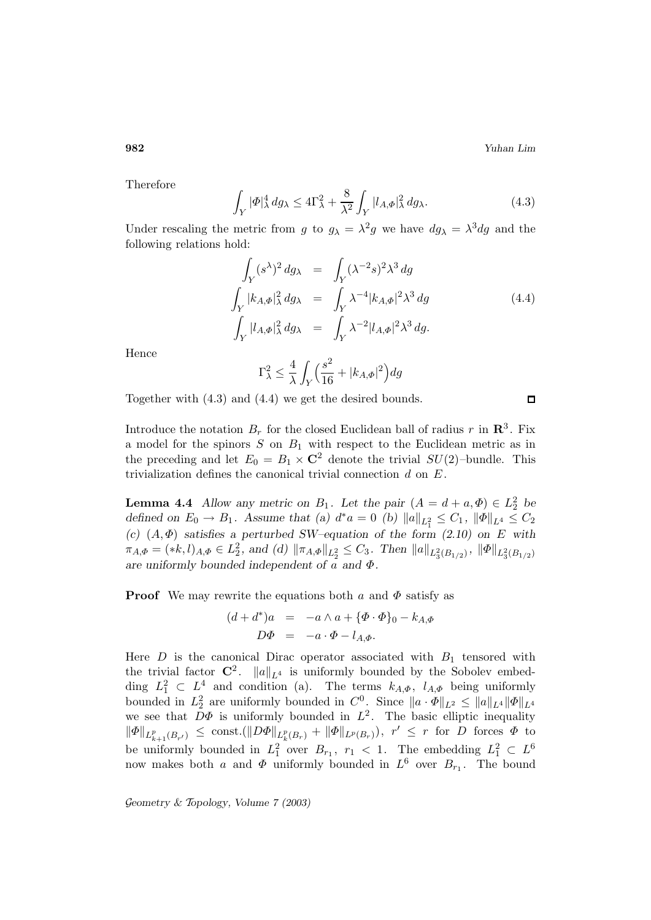**982** *Yuhan Lim*

Therefore

$$
\int_{Y} |\Phi|_{\lambda}^{4} dg_{\lambda} \le 4\Gamma_{\lambda}^{2} + \frac{8}{\lambda^{2}} \int_{Y} |l_{A,\Phi}|_{\lambda}^{2} dg_{\lambda}.
$$
\n(4.3)

Under rescaling the metric from g to  $g_{\lambda} = \lambda^2 g$  we have  $dg_{\lambda} = \lambda^3 dg$  and the following relations hold:

$$
\int_{Y} (s^{\lambda})^{2} dg_{\lambda} = \int_{Y} (\lambda^{-2} s)^{2} \lambda^{3} dg
$$
\n
$$
\int_{Y} |k_{A,\Phi}|_{\lambda}^{2} dg_{\lambda} = \int_{Y} \lambda^{-4} |k_{A,\Phi}|^{2} \lambda^{3} dg
$$
\n
$$
\int_{Y} |l_{A,\Phi}|_{\lambda}^{2} dg_{\lambda} = \int_{Y} \lambda^{-2} |l_{A,\Phi}|^{2} \lambda^{3} dg.
$$
\n(4.4)

Hence

$$
\Gamma_\lambda^2 \le \frac{4}{\lambda} \int_Y \Big(\frac{s^2}{16} + |k_{A,\Phi}|^2\Big) dg
$$

Together with (4.3) and (4.4) we get the desired bounds.

Introduce the notation  $B_r$  for the closed Euclidean ball of radius r in  $\mathbb{R}^3$ . Fix a model for the spinors  $S$  on  $B_1$  with respect to the Euclidean metric as in the preceding and let  $E_0 = B_1 \times \mathbb{C}^2$  denote the trivial  $SU(2)$ -bundle. This trivialization defines the canonical trivial connection  $d$  on  $E$ .

**Lemma 4.4** *Allow any metric on*  $B_1$ *. Let the pair*  $(A = d + a, \Phi) \in L_2^2$  *be defined on*  $E_0 \to B_1$ . Assume that (a)  $d^*a = 0$  (b)  $||a||_{L_1^2} \leq C_1$ ,  $||\Phi||_{L^4} \leq C_2$  $(c)$   $(A, \Phi)$  *satisfies a perturbed SW–equation of the form (2.10) on E with*  $\pi_{A,\Phi} = (*k,l)_{A,\Phi} \in L_2^2$ , and (d)  $\|\pi_{A,\Phi}\|_{L_2^2} \leq C_3$ . Then  $\|a\|_{L_3^2(B_{1/2})}$ ,  $\|\Phi\|_{L_3^2(B_{1/2})}$ *are uniformly bounded independent of* a *and* Φ*.*

**Proof** We may rewrite the equations both a and  $\Phi$  satisfy as

$$
(d+d^*)a = -a \wedge a + \{\Phi \cdot \Phi\}_0 - k_{A,\Phi}
$$
  

$$
D\Phi = -a \cdot \Phi - l_{A,\Phi}.
$$

Here  $D$  is the canonical Dirac operator associated with  $B_1$  tensored with the trivial factor  $\mathbb{C}^2$ .  $||a||_{L^4}$  is uniformly bounded by the Sobolev embedding  $L_1^2 \subset L_1^4$  and condition (a). The terms  $k_{A,\Phi}$ ,  $l_{A,\Phi}$  being uniformly bounded in  $L_2^2$  are uniformly bounded in  $C^0$ . Since  $\|a \cdot \Phi\|_{L^2} \le \|a\|_{L^4} \|\Phi\|_{L^4}$ we see that  $D\Phi$  is uniformly bounded in  $L^2$ . The basic elliptic inequality  $\|\Phi\|_{L^p_{k+1}(B_{r'})} \leq \text{const.}(\|D\Phi\|_{L^p_k(B_r)} + \|\Phi\|_{L^p(B_r)}), \; r' \leq r \text{ for } D \text{ forces } \Phi \text{ to }$ be uniformly bounded in  $L_1^2$  over  $B_{r_1}$ ,  $r_1 < 1$ . The embedding  $L_1^2 \subset L^6$ now makes both a and  $\Phi$  uniformly bounded in  $L^6$  over  $B_{r_1}$ . The bound

G*eometry &* T*opology, Volume 7 (2003)*

 $\Box$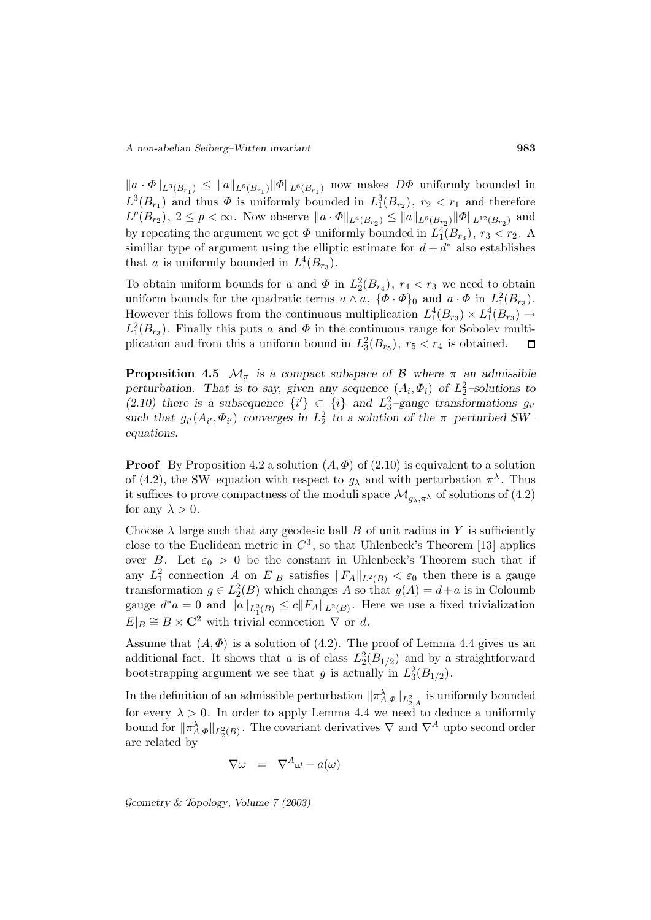$||a \cdot \Phi||_{L^3(B_{r_1})} \leq ||a||_{L^6(B_{r_1})} ||\Phi||_{L^6(B_{r_1})}$  now makes  $D\Phi$  uniformly bounded in  $L^3(B_{r_1})$  and thus  $\Phi$  is uniformly bounded in  $L_1^3(B_{r_2})$ ,  $r_2 < r_1$  and therefore  $L^p(B_{r_2})$ ,  $2 \le p < \infty$ . Now observe  $||a \cdot \Phi||_{L^4(B_{r_2})} \le ||a||_{L^6(B_{r_2})} ||\Phi||_{L^{12}(B_{r_2})}$  and by repeating the argument we get  $\Phi$  uniformly bounded in  $L_1^4(B_{r_3})$ ,  $r_3 < r_2$ . A similiar type of argument using the elliptic estimate for  $d + d^*$  also establishes that *a* is uniformly bounded in  $L_1^4(B_{r_3})$ .

To obtain uniform bounds for a and  $\Phi$  in  $L_2^2(B_{r_4})$ ,  $r_4 < r_3$  we need to obtain uniform bounds for the quadratic terms  $a \wedge a$ ,  $\{\Phi \cdot \Phi\}_0$  and  $a \cdot \Phi$  in  $L_1^2(B_{r_3})$ . However this follows from the continuous multiplication  $L_1^4(B_{r_3}) \times L_1^4(B_{r_3}) \to$  $L_1^2(B_{r_3})$ . Finally this puts a and  $\Phi$  in the continuous range for Sobolev multiplication and from this a uniform bound in  $L_3^2(B_{r_5})$ ,  $r_5 < r_4$  is obtained.  $\Box$ 

**Proposition 4.5**  $\mathcal{M}_{\pi}$  is a compact subspace of  $\mathcal{B}$  where  $\pi$  an admissible *perturbation.* That is to say, given any sequence  $(A_i, \Phi_i)$  of  $L_2^2$ -solutions to (2.10) there is a subsequence  $\{i'\}\subset \{i\}$  and  $L_3^2$ -gauge transformations  $g_{i'}$ *such that*  $g_{i'}(A_{i'}, \Phi_{i'})$  *converges in*  $L_2^2$  *to a solution of the*  $\pi$ -perturbed SW*equations.*

**Proof** By Proposition 4.2 a solution  $(A, \Phi)$  of  $(2.10)$  is equivalent to a solution of (4.2), the SW–equation with respect to  $g_{\lambda}$  and with perturbation  $\pi^{\lambda}$ . Thus it suffices to prove compactness of the moduli space  $\mathcal{M}_{q_{\lambda},\pi^{\lambda}}$  of solutions of (4.2) for any  $\lambda > 0$ .

Choose  $\lambda$  large such that any geodesic ball B of unit radius in Y is sufficiently close to the Euclidean metric in  $C^3$ , so that Uhlenbeck's Theorem [13] applies over B. Let  $\varepsilon_0 > 0$  be the constant in Uhlenbeck's Theorem such that if any  $L_1^2$  connection A on  $E|_B$  satisfies  $||F_A||_{L^2(B)} < \varepsilon_0$  then there is a gauge transformation  $g \in L_2^2(B)$  which changes A so that  $g(A) = d + a$  is in Coloumb gauge  $d^*a = 0$  and  $||a||_{L_1^2(B)} \le c||F_A||_{L^2(B)}$ . Here we use a fixed trivialization  $E|_B \cong B \times \mathbb{C}^2$  with trivial connection  $\nabla$  or d.

Assume that  $(A, \Phi)$  is a solution of (4.2). The proof of Lemma 4.4 gives us an additional fact. It shows that a is of class  $L_2^2(B_{1/2})$  and by a straightforward bootstrapping argument we see that g is actually in  $L_3^2(B_{1/2})$ .

In the definition of an admissible perturbation  $\|\pi_{A,\Phi}^{\lambda}\|_{L^2_{2,A}}$  is uniformly bounded for every  $\lambda > 0$ . In order to apply Lemma 4.4 we need to deduce a uniformly bound for  $\|\pi_{A,\Phi}^{\lambda}\|_{L_2^2(B)}$ . The covariant derivatives  $\nabla$  and  $\nabla^A$  upto second order are related by

$$
\nabla \omega = \nabla^A \omega - a(\omega)
$$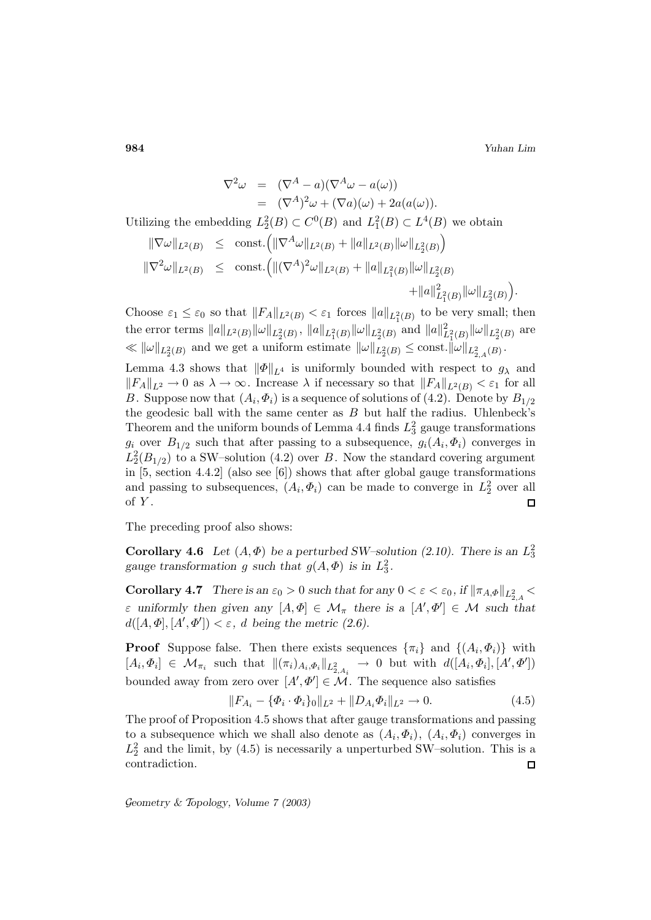**984** *Yuhan Lim*

$$
\nabla^2 \omega = (\nabla^A - a)(\nabla^A \omega - a(\omega))
$$
  
\n
$$
= (\nabla^A)^2 \omega + (\nabla a)(\omega) + 2a(a(\omega)).
$$
  
\nUtilizing the embedding  $L_2^2(B) \subset C^0(B)$  and  $L_1^2(B) \subset L^4(B)$  we obtain  
\n
$$
\|\nabla \omega\|_{L^2(B)} \le \text{const.} \left( \|\nabla^A \omega\|_{L^2(B)} + \|a\|_{L^2(B)} \|\omega\|_{L^2(B)} \right)
$$
  
\n
$$
\|\nabla^2 \omega\|_{L^2(B)} \le \text{const.} \left( \|(\nabla^A)^2 \omega\|_{L^2(B)} + \|a\|_{L_1^2(B)} \|\omega\|_{L_2^2(B)} + \|a\|_{L_1^2(B)}^2 \|\omega\|_{L_2^2(B)} \right).
$$

Choose  $\varepsilon_1 \leq \varepsilon_0$  so that  $||F_A||_{L^2(B)} < \varepsilon_1$  forces  $||a||_{L^2(B)}$  to be very small; then the error terms  $||a||_{L^2(B)} ||\omega||_{L^2_2(B)}$ ,  $||a||_{L^2_1(B)} ||\omega||_{L^2_2(B)}$  and  $||a||^2_{L^2_1(B)} ||\omega||_{L^2_2(B)}$  are  $\ll \|\omega\|_{L_2^2(B)}$  and we get a uniform estimate  $\|\omega\|_{L_2^2(B)} \leq \text{const.} \|\omega\|_{L_{2,A}^2(B)}$ .

Lemma 4.3 shows that  $\|\Phi\|_{L^4}$  is uniformly bounded with respect to  $g_\lambda$  and  $||F_A||_{L^2} \to 0$  as  $\lambda \to \infty$ . Increase  $\lambda$  if necessary so that  $||F_A||_{L^2(B)} < \varepsilon_1$  for all B. Suppose now that  $(A_i, \Phi_i)$  is a sequence of solutions of (4.2). Denote by  $B_{1/2}$ the geodesic ball with the same center as  $B$  but half the radius. Uhlenbeck's Theorem and the uniform bounds of Lemma 4.4 finds  $L_3^2$  gauge transformations  $g_i$  over  $B_{1/2}$  such that after passing to a subsequence,  $g_i(A_i, \Phi_i)$  converges in  $L_2^2(B_{1/2})$  to a SW-solution (4.2) over B. Now the standard covering argument in [5, section 4.4.2] (also see [6]) shows that after global gauge transformations and passing to subsequences,  $(A_i, \Phi_i)$  can be made to converge in  $L_2^2$  over all of Y .  $\Box$ 

The preceding proof also shows:

**Corollary 4.6** Let  $(A, \Phi)$  be a perturbed SW-solution (2.10). There is an  $L_3^2$ gauge transformation g such that  $g(A, \Phi)$  is in  $L_3^2$ .

**Corollary 4.7** *There is an*  $\varepsilon_0 > 0$  *such that for any*  $0 < \varepsilon < \varepsilon_0$ , if  $\|\pi_{A,\Phi}\|_{L^2_{2,A}}$  $\varepsilon$  uniformly then given any  $[A, \Phi] \in \mathcal{M}_{\pi}$  there is a  $[A', \Phi'] \in \mathcal{M}$  such that  $d([A,\Phi],[A',\Phi']) < \varepsilon, d$  being the metric (2.6).

**Proof** Suppose false. Then there exists sequences  $\{\pi_i\}$  and  $\{(A_i, \Phi_i)\}\$  with  $[A_i,\Phi_i] \in \mathcal{M}_{\pi_i}$  such that  $\|(\pi_i)_{A_i,\Phi_i}\|_{L^2_{2,A_i}} \to 0$  but with  $d([A_i,\Phi_i],[A',\Phi'])$ bounded away from zero over  $[A', \Phi'] \in \mathcal{M}$ . The sequence also satisfies

$$
||F_{A_i} - {\Phi_i \cdot \Phi_i}\_0||_{L^2} + ||D_{A_i}\Phi_i||_{L^2} \to 0.
$$
\n(4.5)

The proof of Proposition 4.5 shows that after gauge transformations and passing to a subsequence which we shall also denote as  $(A_i, \Phi_i)$ ,  $(A_i, \Phi_i)$  converges in  $L_2^2$  and the limit, by (4.5) is necessarily a unperturbed SW-solution. This is a contradiction.  $\Box$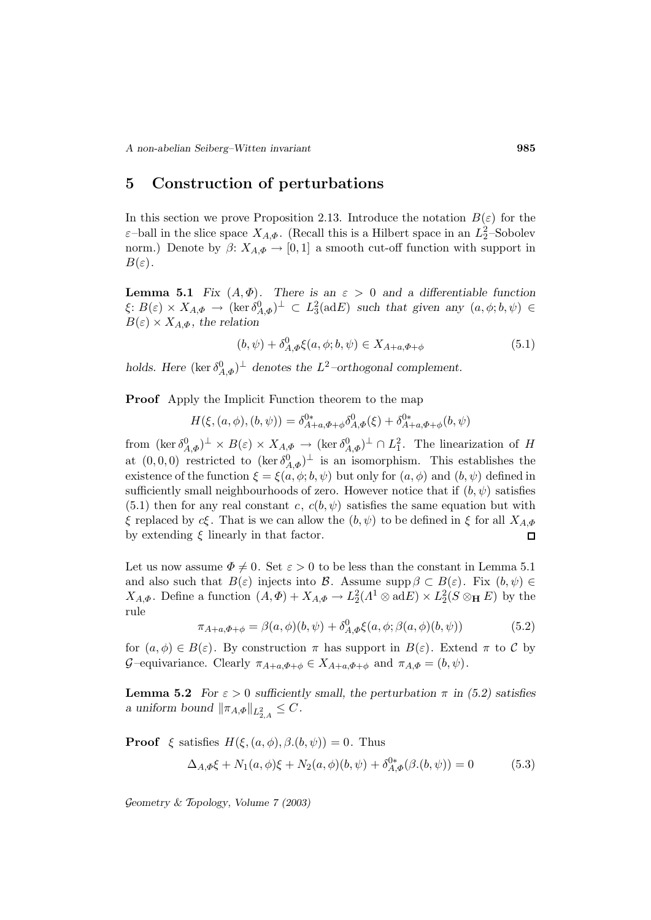# **5 Construction of perturbations**

In this section we prove Proposition 2.13. Introduce the notation  $B(\varepsilon)$  for the  $\varepsilon$ -ball in the slice space  $X_{A,\Phi}$ . (Recall this is a Hilbert space in an  $L_2^2$ -Sobolev norm.) Denote by  $\beta: X_{A,\Phi} \to [0,1]$  a smooth cut-off function with support in  $B(\varepsilon)$ .

**Lemma 5.1** *Fix*  $(A, \Phi)$ *. There is an*  $\varepsilon > 0$  *and a differentiable function*  $\xi: B(\varepsilon) \times X_{A,\Phi} \to (\ker \delta_{A,\Phi}^0)^{\perp} \subset L_3^2(\text{ad}E)$  such that given any  $(a, \phi, b, \psi) \in$  $B(\varepsilon) \times X_{A,\Phi}$ , the relation

$$
(b, \psi) + \delta_{A,\Phi}^0 \xi(a, \phi; b, \psi) \in X_{A+a, \Phi+b} \tag{5.1}
$$

*holds.* Here  $(\ker \delta_{A,\Phi}^0)^{\perp}$  *denotes the*  $L^2$ -orthogonal complement.

**Proof** Apply the Implicit Function theorem to the map

$$
H(\xi, (a, \phi), (b, \psi)) = \delta_{A+a, \Phi+b}^{0*} \delta_{A, \Phi}^{0}(\xi) + \delta_{A+a, \Phi+b}^{0*} (b, \psi)
$$

from  $(\ker \delta_{A,\Phi}^0)^{\perp} \times B(\varepsilon) \times X_{A,\Phi} \to (\ker \delta_{A,\Phi}^0)^{\perp} \cap L_1^2$ . The linearization of H at  $(0,0,0)$  restricted to  $(\ker \delta_{A,\Phi}^0)^{\perp}$  is an isomorphism. This establishes the existence of the function  $\xi = \xi(a, \phi; b, \psi)$  but only for  $(a, \phi)$  and  $(b, \psi)$  defined in sufficiently small neighbourhoods of zero. However notice that if  $(b, \psi)$  satisfies  $(5.1)$  then for any real constant c,  $c(b, \psi)$  satisfies the same equation but with ξ replaced by cξ. That is we can allow the  $(b, \psi)$  to be defined in ξ for all  $X_{A,\Phi}$ by extending  $\xi$  linearly in that factor.  $\Box$ 

Let us now assume  $\Phi \neq 0$ . Set  $\varepsilon > 0$  to be less than the constant in Lemma 5.1 and also such that  $B(\varepsilon)$  injects into  $\mathcal{B}$ . Assume supp  $\beta \subset B(\varepsilon)$ . Fix  $(b, \psi) \in$  $X_{A,\Phi}$ . Define a function  $(A,\Phi) + X_{A,\Phi} \to L_2^2(A^1 \otimes \text{ad}E) \times L_2^2(S \otimes_H E)$  by the rule

$$
\pi_{A+a,\Phi+\phi} = \beta(a,\phi)(b,\psi) + \delta_{A,\Phi}^0 \xi(a,\phi;\beta(a,\phi)(b,\psi))
$$
\n(5.2)

for  $(a, \phi) \in B(\varepsilon)$ . By construction  $\pi$  has support in  $B(\varepsilon)$ . Extend  $\pi$  to C by G–equivariance. Clearly  $\pi_{A+a,\Phi+\phi} \in X_{A+a,\Phi+\phi}$  and  $\pi_{A,\Phi} = (b,\psi)$ .

**Lemma 5.2** *For*  $\varepsilon > 0$  *sufficiently small, the perturbation*  $\pi$  *in* (5.2) *satisfies a* uniform bound  $\|\pi_{A,\Phi}\|_{L^2_{2,A}} \leq C$ .

**Proof**  $\xi$  satisfies  $H(\xi, (a, \phi), \beta, (b, \psi)) = 0$ . Thus

$$
\Delta_{A,\Phi}\xi + N_1(a,\phi)\xi + N_2(a,\phi)(b,\psi) + \delta_{A,\Phi}^{0*}(\beta.(b,\psi)) = 0
$$
\n(5.3)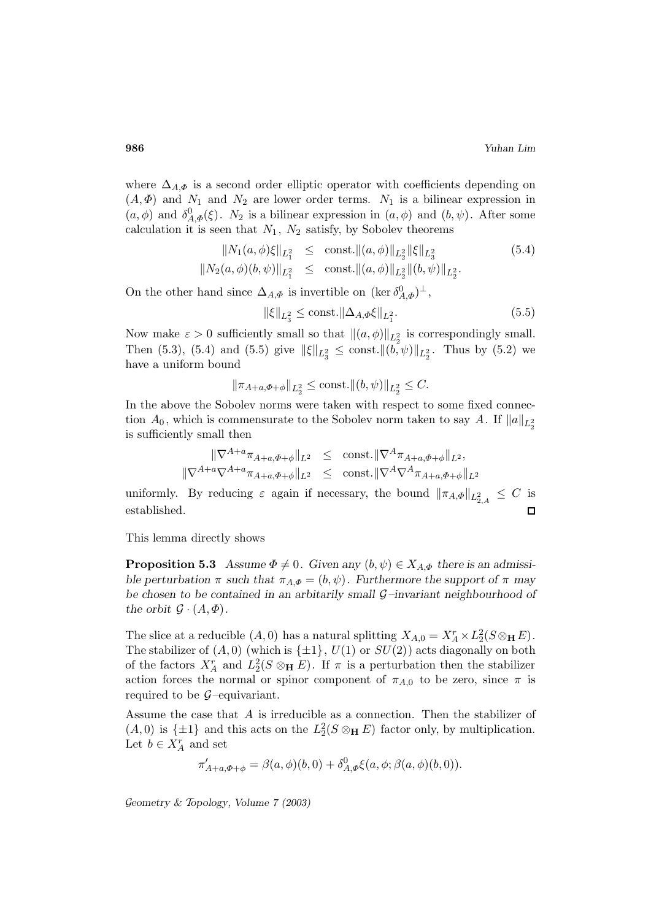where  $\Delta_{A,\Phi}$  is a second order elliptic operator with coefficients depending on  $(A, \Phi)$  and  $N_1$  and  $N_2$  are lower order terms.  $N_1$  is a bilinear expression in  $(a, \phi)$  and  $\delta_{A,\Phi}^0(\xi)$ .  $N_2$  is a bilinear expression in  $(a, \phi)$  and  $(b, \psi)$ . After some calculation it is seen that  $N_1$ ,  $N_2$  satisfy, by Sobolev theorems

$$
||N_1(a,\phi)\xi||_{L_1^2} \le \text{const.} ||(a,\phi)||_{L_2^2} ||\xi||_{L_3^2}
$$
(5.4)  

$$
||N_2(a,\phi)(b,\psi)||_{L_1^2} \le \text{const.} ||(a,\phi)||_{L_2^2} ||(b,\psi)||_{L_2^2}.
$$

On the other hand since  $\Delta_{A,\Phi}$  is invertible on  $(\ker \delta_{A,\Phi}^0)^{\perp}$ ,

$$
\|\xi\|_{L_3^2} \le \text{const.} \|\Delta_{A,\Phi}\xi\|_{L_1^2}.\tag{5.5}
$$

Now make  $\varepsilon > 0$  sufficiently small so that  $\|(a, \phi)\|_{L_2^2}$  is correspondingly small. Then (5.3), (5.4) and (5.5) give  $\|\xi\|_{L_3^2} \le \text{const.} \|(b, \psi)\|_{L_2^2}$ . Thus by (5.2) we have a uniform bound

$$
\|\pi_{A+a,\Phi+\phi}\|_{L_2^2} \le \text{const.} \|(b,\psi)\|_{L_2^2} \le C.
$$

In the above the Sobolev norms were taken with respect to some fixed connection  $A_0$ , which is commensurate to the Sobolev norm taken to say A. If  $||a||_{L_2^2}$ is sufficiently small then

$$
\|\nabla^{A+a}\pi_{A+a,\Phi+\phi}\|_{L^{2}} \leq \text{const.} \|\nabla^{A}\pi_{A+a,\Phi+\phi}\|_{L^{2}},
$$
  

$$
\|\nabla^{A+a}\nabla^{A+a}\pi_{A+a,\Phi+\phi}\|_{L^{2}} \leq \text{const.} \|\nabla^{A}\nabla^{A}\pi_{A+a,\Phi+\phi}\|_{L^{2}}
$$

uniformly. By reducing  $\varepsilon$  again if necessary, the bound  $\|\pi_{A,\Phi}\|_{L^2_{2,A}} \leq C$  is established.  $\Box$ 

This lemma directly shows

**Proposition 5.3** *Assume*  $\Phi \neq 0$ *. Given any*  $(b, \psi) \in X_{A,\Phi}$  *there is an admissible perturbation*  $\pi$  *such that*  $\pi_{A,\Phi} = (b, \psi)$ *. Furthermore the support of*  $\pi$  *may be chosen to be contained in an arbitarily small* G*–invariant neighbourhood of the orbit*  $\mathcal{G} \cdot (A, \Phi)$ *.* 

The slice at a reducible  $(A, 0)$  has a natural splitting  $X_{A,0} = X_A^r \times L_2^2(S \otimes_{\mathbf{H}} E)$ . The stabilizer of  $(A, 0)$  (which is  $\{\pm 1\}$ ,  $U(1)$  or  $SU(2)$ ) acts diagonally on both of the factors  $X_A^r$  and  $L_2^2(S \otimes_H E)$ . If  $\pi$  is a perturbation then the stabilizer action forces the normal or spinor component of  $\pi_{A,0}$  to be zero, since  $\pi$  is required to be  $\mathcal{G}$ -equivariant.

Assume the case that A is irreducible as a connection. Then the stabilizer of  $(A, 0)$  is  $\{\pm 1\}$  and this acts on the  $L_2^2(S \otimes_H E)$  factor only, by multiplication. Let  $b \in X_A^r$  and set

$$
\pi'_{A+a,\Phi+\phi} = \beta(a,\phi)(b,0) + \delta^0_{A,\Phi}\xi(a,\phi;\beta(a,\phi)(b,0)).
$$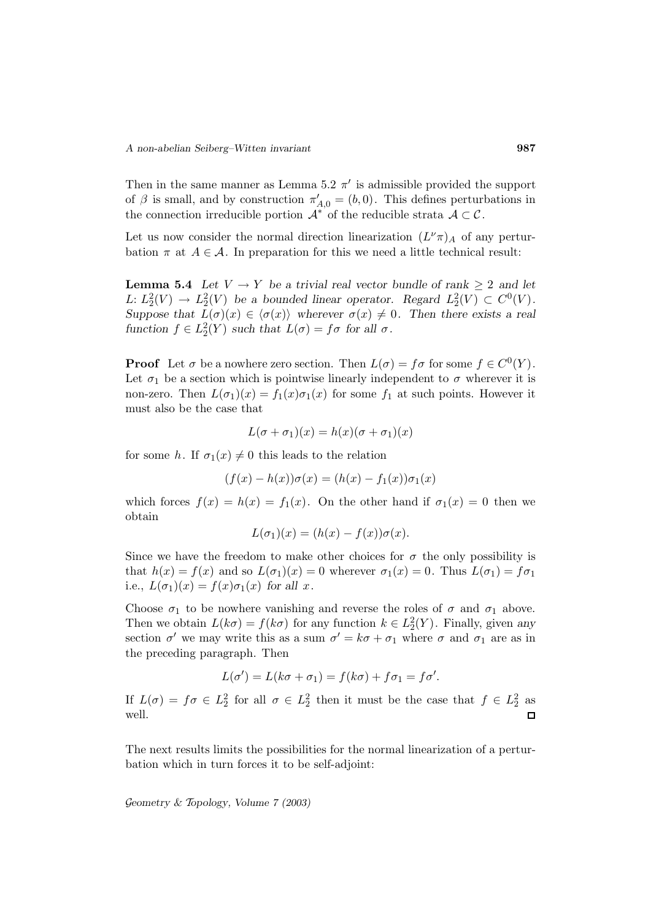Then in the same manner as Lemma 5.2  $\pi$ <sup>'</sup> is admissible provided the support of  $\beta$  is small, and by construction  $\pi'_{A,0} = (b, 0)$ . This defines perturbations in the connection irreducible portion  $\mathcal{A}^*$  of the reducible strata  $\mathcal{A} \subset \mathcal{C}$ .

Let us now consider the normal direction linearization  $(L^{\nu}\pi)_{A}$  of any perturbation  $\pi$  at  $A \in \mathcal{A}$ . In preparation for this we need a little technical result:

**Lemma 5.4** *Let*  $V \rightarrow Y$  *be a trivial real vector bundle of rank*  $> 2$  *and let* L:  $L_2^2(V) \rightarrow L_2^2(V)$  be a bounded linear operator. Regard  $L_2^2(V) \subset C^0(V)$ . *Suppose that*  $L(\sigma)(x) \in \langle \sigma(x) \rangle$  *wherever*  $\sigma(x) \neq 0$ *. Then there exists a real function*  $f \in L_2^2(Y)$  *such that*  $L(\sigma) = f\sigma$  *for all*  $\sigma$ *.* 

**Proof** Let  $\sigma$  be a nowhere zero section. Then  $L(\sigma) = f \sigma$  for some  $f \in C^0(Y)$ . Let  $\sigma_1$  be a section which is pointwise linearly independent to  $\sigma$  wherever it is non-zero. Then  $L(\sigma_1)(x) = f_1(x)\sigma_1(x)$  for some  $f_1$  at such points. However it must also be the case that

$$
L(\sigma + \sigma_1)(x) = h(x)(\sigma + \sigma_1)(x)
$$

for some h. If  $\sigma_1(x) \neq 0$  this leads to the relation

$$
(f(x) - h(x))\sigma(x) = (h(x) - f_1(x))\sigma_1(x)
$$

which forces  $f(x) = h(x) = f_1(x)$ . On the other hand if  $\sigma_1(x) = 0$  then we obtain

$$
L(\sigma_1)(x) = (h(x) - f(x))\sigma(x).
$$

Since we have the freedom to make other choices for  $\sigma$  the only possibility is that  $h(x) = f(x)$  and so  $L(\sigma_1)(x) = 0$  wherever  $\sigma_1(x) = 0$ . Thus  $L(\sigma_1) = f\sigma_1$ i.e.,  $L(\sigma_1)(x) = f(x)\sigma_1(x)$  for all x.

Choose  $\sigma_1$  to be nowhere vanishing and reverse the roles of  $\sigma$  and  $\sigma_1$  above. Then we obtain  $L(k\sigma) = f(k\sigma)$  for any function  $k \in L_2^2(Y)$ . Finally, given any section  $\sigma'$  we may write this as a sum  $\sigma' = k\sigma + \sigma_1$  where  $\sigma$  and  $\sigma_1$  are as in the preceding paragraph. Then

$$
L(\sigma') = L(k\sigma + \sigma_1) = f(k\sigma) + f\sigma_1 = f\sigma'.
$$

If  $L(\sigma) = f\sigma \in L_2^2$  for all  $\sigma \in L_2^2$  then it must be the case that  $f \in L_2^2$  as well.  $\Box$ 

The next results limits the possibilities for the normal linearization of a perturbation which in turn forces it to be self-adjoint: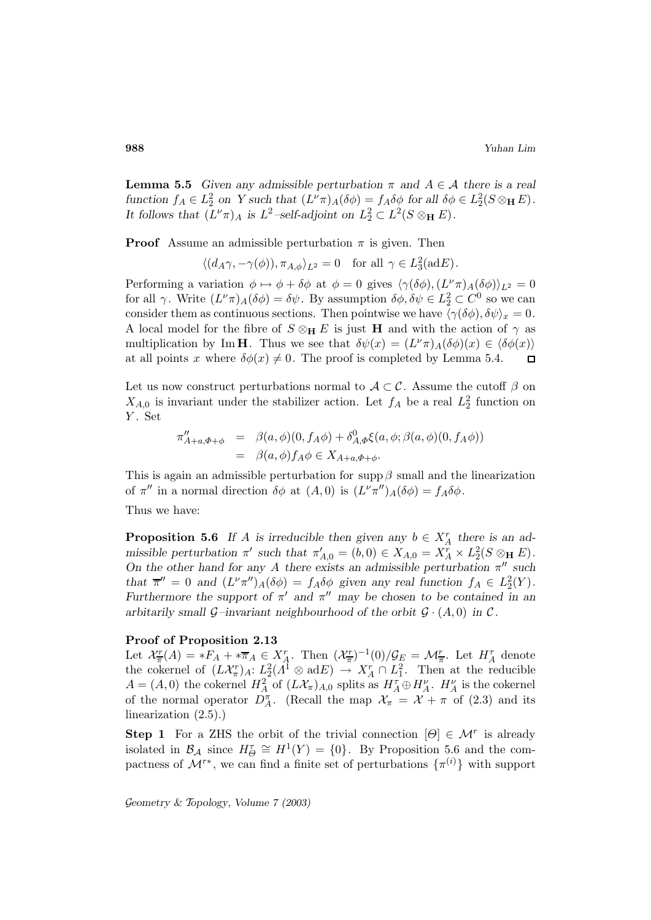**Lemma 5.5** *Given any admissible perturbation*  $\pi$  *and*  $A \in \mathcal{A}$  *there is a real* function  $f_A \in L_2^2$  on Y such that  $(L^{\nu} \pi)_A(\delta \phi) = f_A \delta \phi$  for all  $\delta \phi \in L_2^2(S \otimes_H E)$ . It follows that  $(L^{\nu}\pi)_{A}$  is  $L^{2}$ -self-adjoint on  $L_{2}^{2} \subset L^{2}(S \otimes_{\mathbf{H}} E)$ .

**Proof** Assume an admissible perturbation  $\pi$  is given. Then

$$
\langle (d_A \gamma, -\gamma(\phi)), \pi_{A,\phi} \rangle_{L^2} = 0 \quad \text{for all } \gamma \in L_3^2(\text{ad}E).
$$

Performing a variation  $\phi \mapsto \phi + \delta \phi$  at  $\phi = 0$  gives  $\langle \gamma (\delta \phi), (L^{\nu} \pi)_A (\delta \phi) \rangle_{L^2} = 0$ for all  $\gamma$ . Write  $(L^{\nu}\pi)_{A}(\delta\phi) = \delta\psi$ . By assumption  $\delta\phi, \delta\psi \in L_2^2 \subset C^0$  so we can consider them as continuous sections. Then pointwise we have  $\langle \gamma (\delta \phi), \delta \psi \rangle_x = 0$ . A local model for the fibre of  $S \otimes_{\mathbf{H}} E$  is just **H** and with the action of  $\gamma$  as multiplication by Im **H**. Thus we see that  $\delta\psi(x)=(L^{\nu}\pi)A(\delta\phi)(x)\in\langle\delta\phi(x)\rangle$ at all points x where  $\delta\phi(x) \neq 0$ . The proof is completed by Lemma 5.4.  $\Box$ 

Let us now construct perturbations normal to  $A\subset\mathcal{C}$ . Assume the cutoff  $\beta$  on  $X_{A,0}$  is invariant under the stabilizer action. Let  $f_A$  be a real  $L_2^2$  function on Y. Set

$$
\pi''_{A+a,\Phi+\phi} = \beta(a,\phi)(0,f_A\phi) + \delta^0_{A,\Phi}\xi(a,\phi;\beta(a,\phi)(0,f_A\phi))
$$
  
=  $\beta(a,\phi)f_A\phi \in X_{A+a,\Phi+\phi}.$ 

This is again an admissible perturbation for supp  $\beta$  small and the linearization of  $\pi''$  in a normal direction  $\delta\phi$  at  $(A, 0)$  is  $(L^{\nu}\pi'')_{A}(\delta\phi) = f_{A}\delta\phi$ .

Thus we have:

**Proposition 5.6** *If A is* irreducible then given any  $b \in X_A^r$  there is an ad*missible perturbation*  $\pi'$  *such that*  $\pi'_{A,0} = (b, 0) \in X_{A,0} = X_A^r \times L_2^2(S \otimes_H E)$ *. On the other hand for any* A *there exists an admissible perturbation*  $\pi$ <sup>*n*</sup> such *that*  $\overline{\pi}'' = 0$  *and*  $(L^{\nu}\pi'')_A(\delta\phi) = f_A \delta\phi$  *given any real function*  $f_A \in L_2^2(Y)$ *. Furthermore the support of*  $\pi'$  *and*  $\pi''$  *may be chosen to be contained in an arbitarily small*  $\mathcal{G}$ *-invariant neighbourhood of the orbit*  $\mathcal{G} \cdot (A, 0)$  *in*  $\mathcal{C}$ *.* 

### **Proof of Proposition 2.13**

Let  $\mathcal{X}_{\overline{\pi}}^r(A) = *F_A + *\overline{\pi}_A \in X_A^r$ . Then  $(\mathcal{X}_{\overline{\pi}}^r)^{-1}(0)/\mathcal{G}_E = \mathcal{M}_{\overline{\pi}}^r$ . Let  $H_A^{\tau}$  denote the cokernel of  $(L\mathcal{X}_{\pi}^r)_A: L_2^2(\Lambda^1 \otimes \mathrm{ad} E) \to X_A^r \cap L_1^2$ . Then at the reducible  $A = (A, 0)$  the cokernel  $H_A^2$  of  $(L\mathcal{X}_{\pi})_{A,0}$  splits as  $H_A^{\tau} \oplus H_A^{\nu}$ .  $H_A^{\nu}$  is the cokernel of the normal operator  $D_A^{\pi}$ . (Recall the map  $\mathcal{X}_{\pi} = \mathcal{X} + \pi$  of (2.3) and its linearization (2.5).)

**Step 1** For a ZHS the orbit of the trivial connection  $[\Theta] \in \mathcal{M}^r$  is already isolated in  $\mathcal{B}_\mathcal{A}$  since  $H^{\tau}_{\Theta} \cong H^1(Y) = \{0\}$ . By Proposition 5.6 and the compactness of  $\mathcal{M}^{r*}$ , we can find a finite set of perturbations  $\{\pi^{(i)}\}$  with support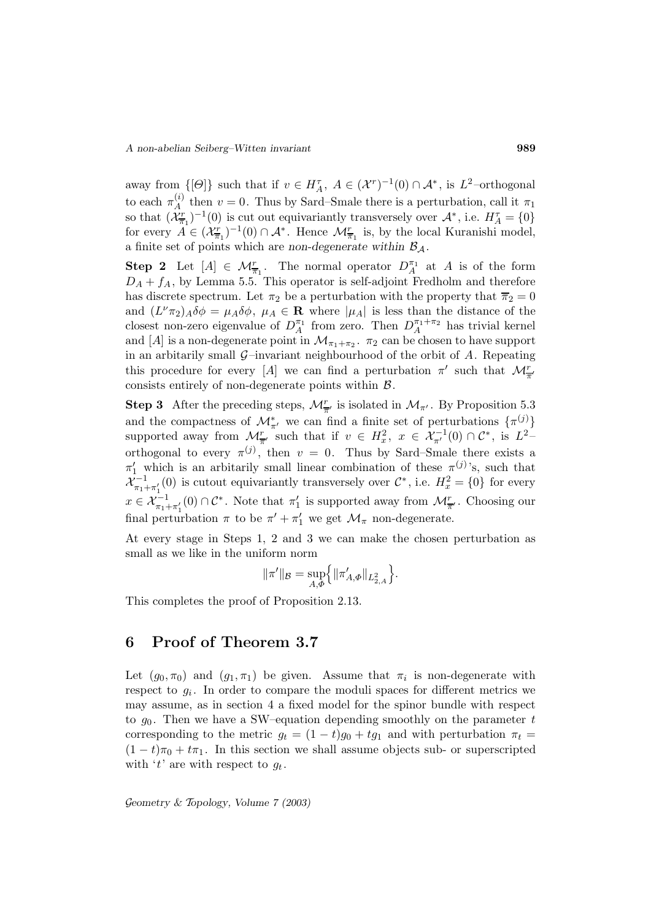away from  $\{[\Theta]\}\$  such that if  $v \in H_A^{\tau}$ ,  $A \in (\mathcal{X}^r)^{-1}(0) \cap \mathcal{A}^*$ , is  $L^2$ -orthogonal to each  $\pi_A^{(i)}$  then  $v = 0$ . Thus by Sard–Smale there is a perturbation, call it  $\pi_1$ so that  $(\mathcal{X}_{\overline{n}_1}^r)^{-1}(0)$  is cut out equivariantly transversely over  $\mathcal{A}^*$ , i.e.  $H_A^{\tau} = \{0\}$ for every  $A \in (\mathcal{X}_{\overline{\pi}_1}^r)^{-1}(0) \cap \mathcal{A}^*$ . Hence  $\mathcal{M}_{\overline{\pi}_1}^r$  is, by the local Kuranishi model, a finite set of points which are *non-degenerate* within  $B_A$ .

**Step 2** Let  $[A] \in \mathcal{M}_{\overline{\pi}_1}^r$ . The normal operator  $D_A^{\pi_1}$  at A is of the form  $D_A + f_A$ , by Lemma 5.5. This operator is self-adjoint Fredholm and therefore has discrete spectrum. Let  $\pi_2$  be a perturbation with the property that  $\overline{\pi}_2 = 0$ and  $(L^{\nu}\pi_2)_{A}\delta\phi = \mu_A\delta\phi$ ,  $\mu_A \in \mathbf{R}$  where  $|\mu_A|$  is less than the distance of the closest non-zero eigenvalue of  $D_A^{\pi_1}$  from zero. Then  $D_A^{\pi_1+\pi_2}$  has trivial kernel and [A] is a non-degenerate point in  $\mathcal{M}_{\pi_1+\pi_2}$ .  $\pi_2$  can be chosen to have support in an arbitarily small  $\mathcal{G}-$ invariant neighbourhood of the orbit of A. Repeating this procedure for every [A] we can find a perturbation  $\pi'$  such that  $\mathcal{M}^r_{\overline{\pi}'}$ consists entirely of non-degenerate points within  $\beta$ .

**Step 3** After the preceding steps,  $\mathcal{M}_{\overline{\pi}'}^r$  is isolated in  $\mathcal{M}_{\pi'}$ . By Proposition 5.3 and the compactness of  $\mathcal{M}_{\pi'}^*$  we can find a finite set of perturbations  $\{\pi^{(j)}\}$ supported away from  $\mathcal{M}_{\overline{n}'}^r$  such that if  $v \in H_x^2$ ,  $x \in \mathcal{X}_{\pi'}^{-1}(0) \cap \mathcal{C}^*$ , is  $L^2$ orthogonal to every  $\pi^{(j)}$ , then  $v = 0$ . Thus by Sard–Smale there exists a  $\pi_1'$  which is an arbitarily small linear combination of these  $\pi^{(j)}$ 's, such that  $\mathcal{X}^{-1}_{\pi_1+\pi'_1}(0)$  is cutout equivariantly transversely over  $\mathcal{C}^*$ , i.e.  $H_x^2 = \{0\}$  for every  $x \in \mathcal{X}_{\pi_1 + \pi_1'}^{-1}(0) \cap \mathcal{C}^*$ . Note that  $\pi_1'$  is supported away from  $\mathcal{M}_{\overline{\pi}'}^r$ . Choosing our final perturbation  $\pi$  to be  $\pi' + \pi_1'$  we get  $\mathcal{M}_{\pi}$  non-degenerate.

At every stage in Steps 1, 2 and 3 we can make the chosen perturbation as small as we like in the uniform norm

$$
\|\pi'\|_{\mathcal{B}} = \sup_{A,\Phi}\Bigl\{\|\pi'_{A,\Phi}\|_{L^2_{2,A}}\Bigr\}.
$$

This completes the proof of Proposition 2.13.

# **6 Proof of Theorem 3.7**

Let  $(g_0, \pi_0)$  and  $(g_1, \pi_1)$  be given. Assume that  $\pi_i$  is non-degenerate with respect to  $g_i$ . In order to compare the moduli spaces for different metrics we may assume, as in section 4 a fixed model for the spinor bundle with respect to  $g_0$ . Then we have a SW-equation depending smoothly on the parameter t corresponding to the metric  $g_t = (1 - t)g_0 + tg_1$  and with perturbation  $\pi_t =$  $(1-t)\pi_0 + t\pi_1$ . In this section we shall assume objects sub- or superscripted with 't' are with respect to  $g_t$ .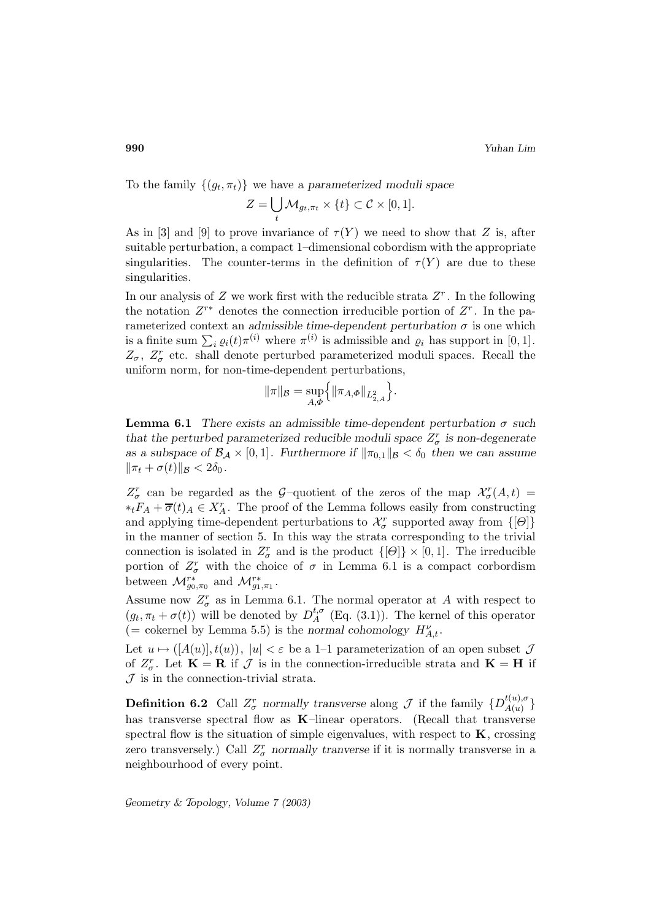To the family  $\{(g_t, \pi_t)\}\$  we have a *parameterized moduli space* 

$$
Z = \bigcup_t \mathcal{M}_{g_t, \pi_t} \times \{t\} \subset \mathcal{C} \times [0, 1].
$$

As in [3] and [9] to prove invariance of  $\tau(Y)$  we need to show that Z is, after suitable perturbation, a compact 1–dimensional cobordism with the appropriate singularities. The counter-terms in the definition of  $\tau(Y)$  are due to these singularities.

In our analysis of Z we work first with the reducible strata  $Z<sup>r</sup>$ . In the following the notation  $Z^{r*}$  denotes the connection irreducible portion of  $Z^r$ . In the parameterized context an *admissible time-dependent perturbation*  $\sigma$  is one which is a finite sum  $\sum_i \varrho_i(t) \pi^{(i)}$  where  $\pi^{(i)}$  is admissible and  $\varrho_i$  has support in [0, 1].  $Z_{\sigma}$ ,  $Z_{\sigma}^{r}$  etc. shall denote perturbed parameterized moduli spaces. Recall the uniform norm, for non-time-dependent perturbations,

$$
\|\pi\|_{\mathcal{B}} = \sup_{A,\Phi} \Big\{ \|\pi_{A,\Phi}\|_{L^2_{2,A}} \Big\}.
$$

**Lemma 6.1** *There exists an admissible time-dependent perturbation* σ *such that the perturbed parameterized reducible moduli space*  $Z_{\sigma}^{r}$  *is non-degenerate as a subspace of*  $\mathcal{B}_\mathcal{A} \times [0,1]$ *. Furthermore if*  $\|\pi_{0,1}\|_{\mathcal{B}} < \delta_0$  *then we can assume*  $\|\pi_t + \sigma(t)\|_{\mathcal{B}} < 2\delta_0$ .

 $Z_{\sigma}^{r}$  can be regarded as the G-quotient of the zeros of the map  $\mathcal{X}_{\sigma}^{r}(A,t)$  =  $*_tF_A + \overline{\sigma}(t)_A \in X_A^r$ . The proof of the Lemma follows easily from constructing and applying time-dependent perturbations to  $\mathcal{X}_{\sigma}^{r}$  supported away from  $\{[\Theta]\}$ in the manner of section 5. In this way the strata corresponding to the trivial connection is isolated in  $Z_{\sigma}^{r}$  and is the product  $\{[\Theta]\}\times[0,1]$ . The irreducible portion of  $Z_{\sigma}^{r}$  with the choice of  $\sigma$  in Lemma 6.1 is a compact corbordism between  $\mathcal{M}_{g_0,\pi_0}^{r*}$  and  $\mathcal{M}_{g_1,\pi_1}^{r*}$ .

Assume now  $Z_{\sigma}^{r}$  as in Lemma 6.1. The normal operator at A with respect to  $(g_t, \pi_t + \sigma(t))$  will be denoted by  $D_A^{t,\sigma}$  (Eq. (3.1)). The kernel of this operator (= cokernel by Lemma 5.5) is the *normal cohomology*  $H_{A,t}^{\nu}$ .

Let  $u \mapsto (A(u), t(u))$ ,  $|u| < \varepsilon$  be a 1–1 parameterization of an open subset  $\mathcal J$ of  $Z_{\sigma}^{r}$ . Let  $\mathbf{K} = \mathbf{R}$  if  $\mathcal{J}$  is in the connection-irreducible strata and  $\mathbf{K} = \mathbf{H}$  if  $J$  is in the connection-trivial strata.

**Definition 6.2** Call  $Z^r_\sigma$  normally transverse along  $\mathcal J$  if the family  $\{D_{A(u)}^{t(u),\sigma}\}$ has transverse spectral flow as **K**–linear operators. (Recall that transverse spectral flow is the situation of simple eigenvalues, with respect to  $\bf{K}$ , crossing zero transversely.) Call  $Z_{\sigma}^{r}$  *normally tranverse* if it is normally transverse in a neighbourhood of every point.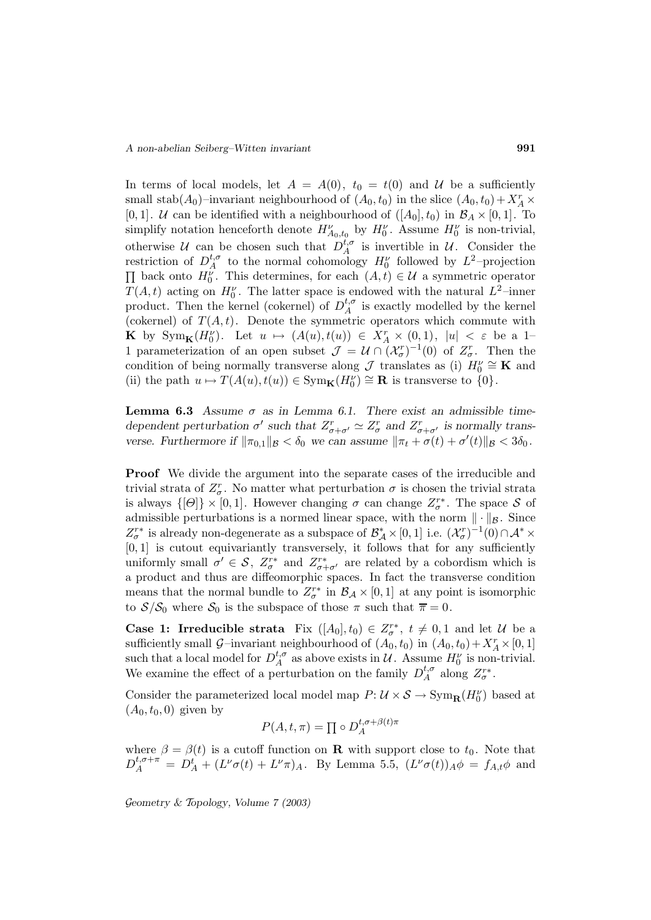In terms of local models, let  $A = A(0)$ ,  $t_0 = t(0)$  and U be a sufficiently small stab( $A_0$ )–invariant neighbourhood of  $(A_0, t_0)$  in the slice  $(A_0, t_0) + X_A^r \times$ [0, 1]. *U* can be identified with a neighbourhood of  $([A_0], t_0)$  in  $\mathcal{B}_A \times [0, 1]$ . To simplify notation henceforth denote  $H_{A_0,t_0}^{\nu}$  by  $H_0^{\nu}$ . Assume  $H_0^{\nu}$  is non-trivial, otherwise U can be chosen such that  $D_A^{t,\sigma}$  is invertible in U. Consider the restriction of  $D_A^{t,\sigma}$  to the normal cohomology  $H_0^{\nu}$  followed by  $L^2$ -projection  $\Pi$  back onto  $H_0^{\nu}$ . This determines, for each  $(A, t) \in \mathcal{U}$  a symmetric operator  $T(A,t)$  acting on  $H_0^{\nu}$ . The latter space is endowed with the natural  $L^2$ -inner product. Then the kernel (cokernel) of  $D_A^{t,\sigma}$  is exactly modelled by the kernel (cokernel) of  $T(A, t)$ . Denote the symmetric operators which commute with **K** by  $Sym_{\mathbf{K}}(H_0^{\nu})$ . Let  $u \mapsto (A(u), t(u)) \in X_A^r \times (0, 1), |u| < \varepsilon$  be a 1-1 parameterization of an open subset  $\mathcal{J} = \mathcal{U} \cap (\mathcal{X}_{\sigma}^r)^{-1}(0)$  of  $Z_{\sigma}^r$ . Then the condition of being normally transverse along  $\mathcal{J}$  translates as (i)  $H_0^{\nu} \cong \mathbf{K}$  and (ii) the path  $u \mapsto T(A(u), t(u)) \in \text{Sym}_\mathbf{K}(H_0^{\nu}) \cong \mathbf{R}$  is transverse to  $\{0\}.$ 

**Lemma 6.3** *Assume*  $\sigma$  *as in Lemma 6.1. There exist an admissible timedependent perturbation*  $\sigma'$  *such that*  $Z_{\sigma+\sigma'}^r \simeq Z_{\sigma}^r$  *and*  $Z_{\sigma+\sigma'}^r$  *is normally transverse. Furthermore if*  $\|\pi_{0,1}\|_{\mathcal{B}} < \delta_0$  *we can assume*  $\|\pi_t + \sigma(t) + \sigma'(t)\|_{\mathcal{B}} < 3\delta_0$ *.* 

**Proof** We divide the argument into the separate cases of the irreducible and trivial strata of  $Z_{\sigma}^{r}$ . No matter what perturbation  $\sigma$  is chosen the trivial strata is always  $\{[\Theta]\}\times[0,1]$ . However changing  $\sigma$  can change  $Z_{\sigma}^{r*}$ . The space  $S$  of admissible perturbations is a normed linear space, with the norm  $\|\cdot\|_{\mathcal{B}}$ . Since  $Z_{\sigma}^{r*}$  is already non-degenerate as a subspace of  $\mathcal{B}_{\mathcal{A}}^{*} \times [0,1]$  i.e.  $(\mathcal{X}_{\sigma}^{r})^{-1}(0) \cap \mathcal{A}^{*} \times$ [0, 1] is cutout equivariantly transversely, it follows that for any sufficiently uniformly small  $\sigma' \in \mathcal{S}$ ,  $Z_{\sigma}^{r*}$  and  $Z_{\sigma+\sigma'}^{r*}$  are related by a cobordism which is a product and thus are diffeomorphic spaces. In fact the transverse condition means that the normal bundle to  $Z_{\sigma}^{r*}$  in  $\mathcal{B}_{\mathcal{A}} \times [0,1]$  at any point is isomorphic to  $S/S_0$  where  $S_0$  is the subspace of those  $\pi$  such that  $\overline{\pi} = 0$ .

**Case 1: Irreducible strata** Fix  $([A_0], t_0) \in Z_{\sigma}^{r*}$ ,  $t \neq 0, 1$  and let U be a sufficiently small  $\mathcal{G}-$ invariant neighbourhood of  $(A_0, t_0)$  in  $(A_0, t_0) + X_A^r \times [0, 1]$ such that a local model for  $D_A^{t,\sigma}$  as above exists in  $\mathcal U$ . Assume  $H_0^{\nu}$  is non-trivial. We examine the effect of a perturbation on the family  $D_A^{t,\sigma}$  along  $Z_{\sigma}^{r*}$ .

Consider the parameterized local model map  $P: \mathcal{U} \times \mathcal{S} \to \text{Sym}_{\mathbf{R}}(H_0^{\nu})$  based at  $(A_0, t_0, 0)$  given by

$$
P(A, t, \pi) = \prod \circ D_A^{t, \sigma + \beta(t)\pi}
$$

where  $\beta = \beta(t)$  is a cutoff function on **R** with support close to  $t_0$ . Note that  $D_A^{t,\sigma+\pi} = D_A^t + (L^{\nu}\sigma(t) + L^{\nu}\pi)_A$ . By Lemma 5.5,  $(L^{\nu}\sigma(t))_A\phi = f_{A,t}\phi$  and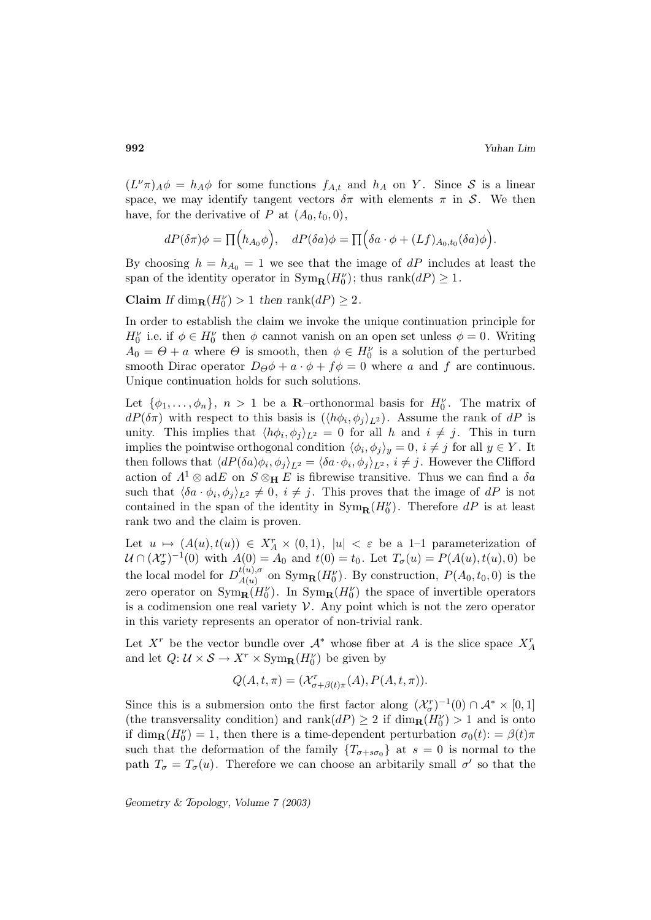$(L^{\nu}\pi)_{A}\phi = h_{A}\phi$  for some functions  $f_{A,t}$  and  $h_{A}$  on Y. Since S is a linear space, we may identify tangent vectors  $\delta \pi$  with elements  $\pi$  in S. We then have, for the derivative of P at  $(A_0, t_0, 0)$ ,

$$
dP(\delta \pi)\phi = \prod (h_{A_0}\phi), \quad dP(\delta a)\phi = \prod (\delta a \cdot \phi + (Lf)_{A_0,t_0}(\delta a)\phi).
$$

By choosing  $h = h_{A_0} = 1$  we see that the image of dP includes at least the span of the identity operator in  $\text{Sym}_{\mathbf{R}}(H_0^{\nu})$ ; thus  $\text{rank}(dP) \geq 1$ .

**Claim** *If* dim<sub>**R**</sub>( $H_0^{\nu}$ ) > 1 *then* rank( $dP$ ) ≥ 2.

In order to establish the claim we invoke the unique continuation principle for  $H_0^{\nu}$  i.e. if  $\phi \in H_0^{\nu}$  then  $\phi$  cannot vanish on an open set unless  $\phi = 0$ . Writing  $A_0 = \Theta + a$  where  $\Theta$  is smooth, then  $\phi \in H_0^{\nu}$  is a solution of the perturbed smooth Dirac operator  $D_{\Theta}\phi + a \cdot \phi + f\phi = 0$  where a and f are continuous. Unique continuation holds for such solutions.

Let  $\{\phi_1,\ldots,\phi_n\}$ ,  $n > 1$  be a **R**-orthonormal basis for  $H_0^{\nu}$ . The matrix of  $dP(\delta \pi)$  with respect to this basis is  $(\langle h\phi_i, \phi_j \rangle_{L^2})$ . Assume the rank of  $dP$  is unity. This implies that  $\langle h\phi_i, \phi_j \rangle_{L^2} = 0$  for all h and  $i \neq j$ . This in turn implies the pointwise orthogonal condition  $\langle \phi_i, \phi_j \rangle_y = 0, i \neq j$  for all  $y \in Y$ . It then follows that  $\langle dP(\delta a)\phi_i, \phi_j \rangle_{L^2} = \langle \delta a \cdot \phi_i, \phi_j \rangle_{L^2}$ ,  $i \neq j$ . However the Clifford action of  $\Lambda^1 \otimes adE$  on  $S \otimes_H E$  is fibrewise transitive. Thus we can find a  $\delta a$ such that  $\langle \delta a \cdot \phi_i, \phi_j \rangle_{L^2} \neq 0, i \neq j$ . This proves that the image of dP is not contained in the span of the identity in  $\text{Sym}_{\mathbf{R}}(H_0^{\nu})$ . Therefore  $dP$  is at least rank two and the claim is proven.

Let  $u \mapsto (A(u), t(u)) \in X_A^r \times (0, 1), |u| < \varepsilon$  be a 1-1 parameterization of  $\mathcal{U} \cap (\mathcal{X}_{\sigma}^r)^{-1}(0)$  with  $A(0) = A_0$  and  $t(0) = t_0$ . Let  $T_{\sigma}(u) = P(A(u), t(u), 0)$  be the local model for  $D_{A(u)}^{t(u),\sigma}$  on  $\text{Sym}_{\mathbf{R}}(H_0^{\nu})$ . By construction,  $P(A_0, t_0, 0)$  is the zero operator on  $\text{Sym}_{\mathbf{R}}(H_0^{\nu})$ . In  $\text{Sym}_{\mathbf{R}}(H_0^{\nu})$  the space of invertible operators is a codimension one real variety  $V$ . Any point which is not the zero operator in this variety represents an operator of non-trivial rank.

Let  $X^r$  be the vector bundle over  $\mathcal{A}^*$  whose fiber at A is the slice space  $X^r_A$ and let  $Q: \mathcal{U} \times \mathcal{S} \to X^r \times \text{Sym}_{\mathbf{R}}(H_0^{\nu})$  be given by

$$
Q(A, t, \pi) = (\mathcal{X}_{\sigma+\beta(t)\pi}^r(A), P(A, t, \pi)).
$$

Since this is a submersion onto the first factor along  $(\mathcal{X}_{\sigma}^r)^{-1}(0) \cap \mathcal{A}^* \times [0,1]$ (the transversality condition) and  $\text{rank}(dP) \geq 2$  if  $\dim_{\mathbf{R}}(H_0^{\nu}) > 1$  and is onto if  $\dim_{\mathbf{R}}(H_0^{\nu}) = 1$ , then there is a time-dependent perturbation  $\sigma_0(t) = \beta(t)\pi$ such that the deformation of the family  $\{T_{\sigma+s\sigma} \}$  at  $s=0$  is normal to the path  $T_{\sigma} = T_{\sigma}(u)$ . Therefore we can choose an arbitarily small  $\sigma'$  so that the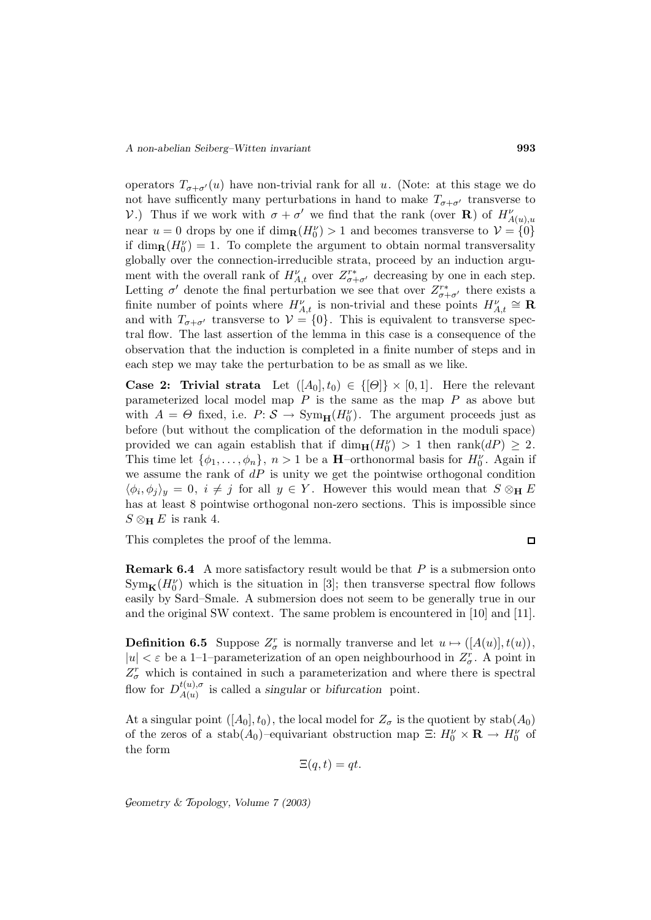operators  $T_{\sigma+\sigma'}(u)$  have non-trivial rank for all u. (Note: at this stage we do not have sufficently many perturbations in hand to make  $T_{\sigma+\sigma'}$  transverse to V.) Thus if we work with  $\sigma + \sigma'$  we find that the rank (over **R**) of  $H_{A(u),u}^{\nu}$ near  $u = 0$  drops by one if  $\dim_{\mathbf{R}}(H_0^{\nu}) > 1$  and becomes transverse to  $\mathcal{V} = \{0\}$ if  $\dim_{\mathbf{R}}(H_0^{\nu}) = 1$ . To complete the argument to obtain normal transversality globally over the connection-irreducible strata, proceed by an induction argument with the overall rank of  $H_{A,t}^{\nu}$  over  $Z_{\sigma+\sigma}^{r*}$  decreasing by one in each step. Letting  $\sigma'$  denote the final perturbation we see that over  $Z^{r*}_{\sigma+\sigma'}$  there exists a finite number of points where  $H_{A,t}^{\nu}$  is non-trivial and these points  $H_{A,t}^{\nu} \cong \mathbf{R}$ and with  $T_{\sigma+\sigma'}$  transverse to  $\mathcal{V} = \{0\}$ . This is equivalent to transverse spectral flow. The last assertion of the lemma in this case is a consequence of the observation that the induction is completed in a finite number of steps and in each step we may take the perturbation to be as small as we like.

**Case 2: Trivial strata** Let  $([A_0], t_0) \in \{[\Theta]\} \times [0,1]$ . Here the relevant parameterized local model map  $P$  is the same as the map  $P$  as above but with  $A = \Theta$  fixed, i.e.  $P: \mathcal{S} \to \text{Sym}_{\mathbf{H}}(H_0^{\nu})$ . The argument proceeds just as before (but without the complication of the deformation in the moduli space) provided we can again establish that if  $\dim_{\mathbf{H}}(H_0^{\nu}) > 1$  then  $\text{rank}(dP) \geq 2$ . This time let  $\{\phi_1, \ldots, \phi_n\}$ ,  $n > 1$  be a **H**-orthonormal basis for  $H_0^{\nu}$ . Again if we assume the rank of  $dP$  is unity we get the pointwise orthogonal condition  $\langle \phi_i, \phi_j \rangle_y = 0, i \neq j$  for all  $y \in Y$ . However this would mean that  $S \otimes_H E$ has at least 8 pointwise orthogonal non-zero sections. This is impossible since  $S \otimes_{\mathbf{H}} E$  is rank 4.

This completes the proof of the lemma.

$$
\Box
$$

**Remark 6.4** A more satisfactory result would be that P is a submersion onto  $Sym_{\mathbf{K}}(H_0^{\nu})$  which is the situation in [3]; then transverse spectral flow follows easily by Sard–Smale. A submersion does not seem to be generally true in our and the original SW context. The same problem is encountered in [10] and [11].

**Definition 6.5** Suppose  $Z_{\sigma}^{r}$  is normally tranverse and let  $u \mapsto (A(u)], t(u)$ ,  $|u| < \varepsilon$  be a 1-1-parameterization of an open neighbourhood in  $Z_{\sigma}^r$ . A point in  $Z_{\sigma}^{r}$  which is contained in such a parameterization and where there is spectral flow for  $D_{A(u)}^{t(u),\sigma}$  is called a *singular* or *bifurcation* point.

At a singular point  $([A_0], t_0)$ , the local model for  $Z_{\sigma}$  is the quotient by stab $(A_0)$ of the zeros of a stab( $A_0$ )–equivariant obstruction map  $\Xi: H_0^{\nu} \times \mathbf{R} \to H_0^{\nu}$  of the form

 $\Xi(q,t) = qt.$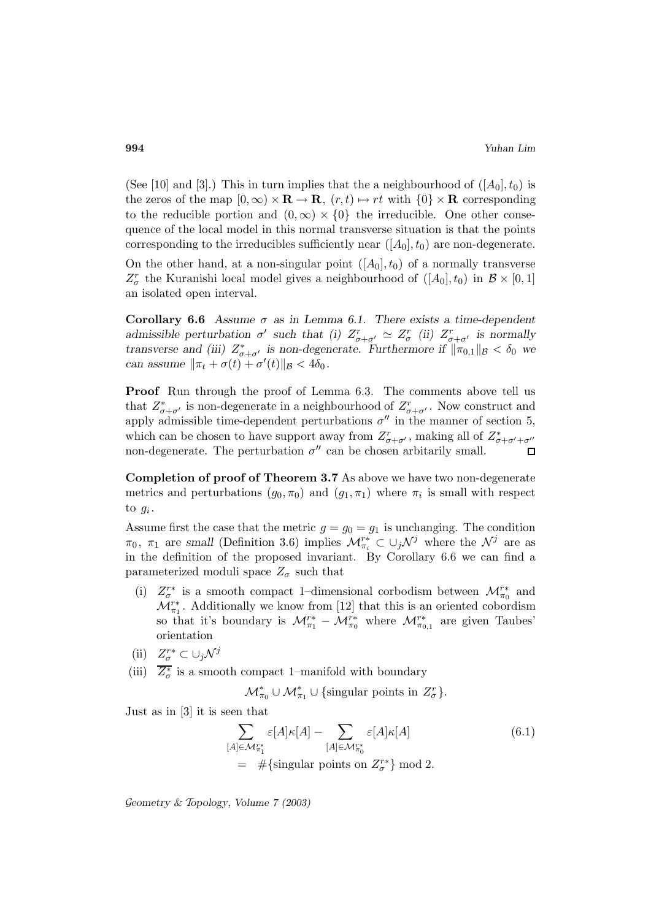(See [10] and [3].) This in turn implies that the a neighbourhood of  $([A_0], t_0)$  is the zeros of the map  $[0, \infty) \times \mathbf{R} \to \mathbf{R}$ ,  $(r, t) \mapsto rt$  with  $\{0\} \times \mathbf{R}$  corresponding to the reducible portion and  $(0,\infty) \times \{0\}$  the irreducible. One other consequence of the local model in this normal transverse situation is that the points corresponding to the irreducibles sufficiently near  $([A_0], t_0)$  are non-degenerate.

On the other hand, at a non-singular point  $([A_0], t_0)$  of a normally transverse  $Z_{\sigma}^{r}$  the Kuranishi local model gives a neighbourhood of  $([A_{0}], t_{0})$  in  $\mathcal{B} \times [0, 1]$ an isolated open interval.

**Corollary 6.6** *Assume*  $\sigma$  *as in Lemma 6.1.* There exists a time-dependent *admissible perturbation*  $\sigma'$  *such that (i)*  $Z_{\sigma+\sigma'}^r \simeq Z_{\sigma}^r$  *(ii)*  $Z_{\sigma+\sigma'}^r$  *is normally transverse and (iii)*  $Z^*_{\sigma+\sigma'}$  *is non-degenerate. Furthermore if*  $\|\pi_{0,1}\|_{\mathcal{B}} < \delta_0$  *we can assume*  $\|\pi_t + \sigma(t) + \sigma'(t)\|_{\mathcal{B}} < 4\delta_0$ .

**Proof** Run through the proof of Lemma 6.3. The comments above tell us that  $Z^*_{\sigma+\sigma'}$  is non-degenerate in a neighbourhood of  $Z^r_{\sigma+\sigma'}$ . Now construct and apply admissible time-dependent perturbations  $\sigma''$  in the manner of section 5, which can be chosen to have support away from  $Z_{\sigma+\sigma'}^r$ , making all of  $Z_{\sigma+\sigma'+\sigma''}^*$ non-degenerate. The perturbation  $\sigma''$  can be chosen arbitarily small.  $\Gamma$ 

**Completion of proof of Theorem 3.7** As above we have two non-degenerate metrics and perturbations  $(g_0, \pi_0)$  and  $(g_1, \pi_1)$  where  $\pi_i$  is small with respect to  $g_i$ .

Assume first the case that the metric  $g = g_0 = g_1$  is unchanging. The condition  $\pi_0$ ,  $\pi_1$  are *small* (Definition 3.6) implies  $\mathcal{M}_{\pi_i}^* \subset \cup_j \mathcal{N}^j$  where the  $\mathcal{N}^j$  are as in the definition of the proposed invariant. By Corollary 6.6 we can find a parameterized moduli space  $Z_{\sigma}$  such that

(i)  $Z_{\sigma}^{r*}$  is a smooth compact 1–dimensional corbodism between  $\mathcal{M}^{r*}_{\pi_0}$  and  $\mathcal{M}^{r*}_{\pi_1}$ . Additionally we know from [12] that this is an oriented cobordism so that it's boundary is  $\mathcal{M}^{r*}_{\pi_1} - \mathcal{M}^{r*}_{\pi_0}$  where  $\mathcal{M}^{r*}_{\pi_{0,1}}$  are given Taubes' orientation

(ii) 
$$
Z_{\sigma}^{r*} \subset \cup_j \mathcal{N}^j
$$

(iii)  $Z^*_{\sigma}$  is a smooth compact 1–manifold with boundary

 $\mathcal{M}_{\pi_0}^* \cup \mathcal{M}_{\pi_1}^* \cup \{\text{singular points in } Z_{\sigma}^r\}.$ 

Just as in [3] it is seen that

$$
\sum_{[A]\in\mathcal{M}_{\pi_1}^{r*}} \varepsilon[A]\kappa[A] - \sum_{[A]\in\mathcal{M}_{\pi_0}^{r*}} \varepsilon[A]\kappa[A] \tag{6.1}
$$
\n
$$
= \# \{\text{singular points on } Z_{\sigma}^{r*}\} \text{ mod } 2.
$$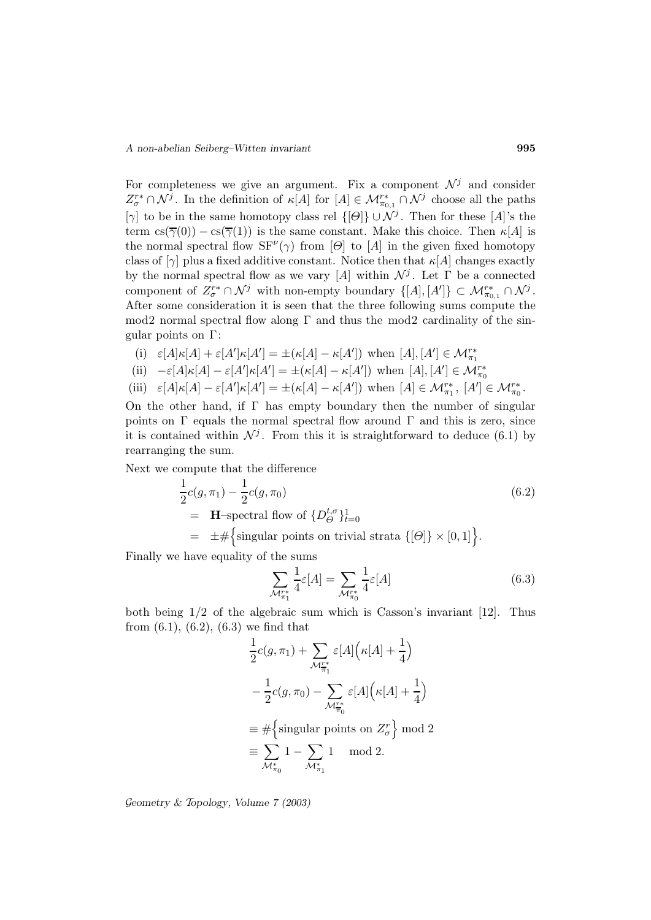For completeness we give an argument. Fix a component  $\mathcal{N}^j$  and consider  $Z_{\sigma}^{r*} \cap \mathcal{N}^j$ . In the definition of  $\kappa[A]$  for  $[A] \in \mathcal{M}_{\pi_{0,1}}^{r*} \cap \mathcal{N}^j$  choose all the paths [γ] to be in the same homotopy class rel  $\{[\Theta]\}\cup \mathcal{N}^j$ . Then for these [A]'s the term  $cs(\overline{\gamma}(0)) - cs(\overline{\gamma}(1))$  is the same constant. Make this choice. Then  $\kappa[A]$  is the normal spectral flow  $SF'(\gamma)$  from [Θ] to [A] in the given fixed homotopy class of  $[\gamma]$  plus a fixed additive constant. Notice then that  $\kappa[A]$  changes exactly by the normal spectral flow as we vary [A] within  $\mathcal{N}^j$ . Let  $\Gamma$  be a connected component of  $Z_{\sigma}^{r*} \cap \mathcal{N}^j$  with non-empty boundary  $\{[A], [A']\} \subset \mathcal{M}_{\pi_{0,1}}^{r*} \cap \mathcal{N}^j$ . After some consideration it is seen that the three following sums compute the mod2 normal spectral flow along  $\Gamma$  and thus the mod2 cardinality of the singular points on Γ:

(i) 
$$
\varepsilon[A]\kappa[A] + \varepsilon[A']\kappa[A'] = \pm(\kappa[A] - \kappa[A'])
$$
 when  $[A], [A'] \in \mathcal{M}_{\pi_1}^{r*}$   
\n(ii)  $-\varepsilon[A]\kappa[A] - \varepsilon[A']\kappa[A'] = \pm(\kappa[A] - \kappa[A'])$  when  $[A], [A'] \in \mathcal{M}_{\pi_0}^{r*}$   
\n(iii)  $\varepsilon[A]\kappa[A] - \varepsilon[A']\kappa[A'] = \pm(\kappa[A] - \kappa[A'])$  when  $[A] \in \mathcal{M}_{\pi_1}^{r*}$ ,  $[A'] \in \mathcal{M}_{\pi_0}^{r*}$ .

On the other hand, if  $\Gamma$  has empty boundary then the number of singular points on  $\Gamma$  equals the normal spectral flow around  $\Gamma$  and this is zero, since it is contained within  $\mathcal{N}^j$ . From this it is straightforward to deduce (6.1) by rearranging the sum.

Next we compute that the difference

$$
\frac{1}{2}c(g,\pi_1) - \frac{1}{2}c(g,\pi_0)
$$
\n
$$
= \mathbf{H}\text{-spectral flow of }\{D_{\Theta}^{t,\sigma}\}_{t=0}^{1}
$$
\n
$$
= \pm \#\{\text{singular points on trivial strata }\{[\Theta]\} \times [0,1]\}.
$$
\n(6.2)

Finally we have equality of the sums

$$
\sum_{\mathcal{M}_{\pi_1}^{r*}} \frac{1}{4} \varepsilon[A] = \sum_{\mathcal{M}_{\pi_0}^{r*}} \frac{1}{4} \varepsilon[A] \tag{6.3}
$$

both being 1/2 of the algebraic sum which is Casson's invariant [12]. Thus from  $(6.1)$ ,  $(6.2)$ ,  $(6.3)$  we find that

$$
\frac{1}{2}c(g,\pi_1) + \sum_{\mathcal{M}_{\pi_1}^{T^*}} \varepsilon[A]\Big(\kappa[A] + \frac{1}{4}\Big)
$$

$$
-\frac{1}{2}c(g,\pi_0) - \sum_{\mathcal{M}_{\pi_0}^{T^*}} \varepsilon[A]\Big(\kappa[A] + \frac{1}{4}\Big)
$$

$$
\equiv \# \Big\{\text{singular points on } Z_{\sigma}^r\Big\} \bmod 2
$$

$$
\equiv \sum_{\mathcal{M}_{\pi_0}^*} 1 - \sum_{\mathcal{M}_{\pi_1}^*} 1 \mod 2.
$$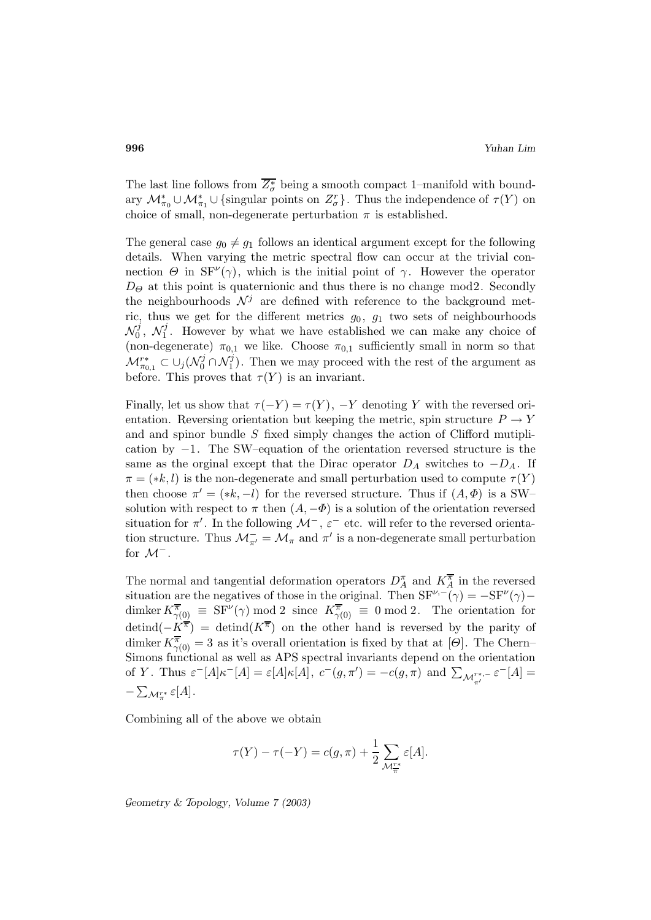The last line follows from  $Z^*_{\sigma}$  being a smooth compact 1–manifold with boundary  $\mathcal{M}_{\pi_0}^* \cup \mathcal{M}_{\pi_1}^* \cup \{\text{singular points on } Z_{\sigma}^r\}$ . Thus the independence of  $\tau(Y)$  on choice of small, non-degenerate perturbation  $\pi$  is established.

The general case  $g_0 \neq g_1$  follows an identical argument except for the following details. When varying the metric spectral flow can occur at the trivial connection  $\Theta$  in  $SF^{\nu}(\gamma)$ , which is the initial point of  $\gamma$ . However the operator  $D_{\Theta}$  at this point is quaternionic and thus there is no change mod2. Secondly the neighbourhoods  $\mathcal{N}^j$  are defined with reference to the background metric, thus we get for the different metrics  $g_0$ ,  $g_1$  two sets of neighbourhoods  $\mathcal{N}_0^j$ ,  $\mathcal{N}_1^j$ . However by what we have established we can make any choice of (non-degenerate)  $\pi_{0,1}$  we like. Choose  $\pi_{0,1}$  sufficiently small in norm so that  $\mathcal{M}_{\pi_{0,1}}^{r*} \subset \cup_j (\mathcal{N}_0^j \cap \mathcal{N}_1^j)$ . Then we may proceed with the rest of the argument as before. This proves that  $\tau(Y)$  is an invariant.

Finally, let us show that  $\tau(-Y) = \tau(Y)$ ,  $-Y$  denoting Y with the reversed orientation. Reversing orientation but keeping the metric, spin structure  $P \to Y$ and and spinor bundle S fixed simply changes the action of Clifford mutiplication by −1. The SW–equation of the orientation reversed structure is the same as the orginal except that the Dirac operator  $D_A$  switches to  $-D_A$ . If  $\pi = (*k, l)$  is the non-degenerate and small perturbation used to compute  $\tau(Y)$ then choose  $\pi' = (*k, -l)$  for the reversed structure. Thus if  $(A, \Phi)$  is a SW– solution with respect to  $\pi$  then  $(A, -\Phi)$  is a solution of the orientation reversed situation for  $\pi'$ . In the following  $\mathcal{M}^-$ ,  $\varepsilon^-$  etc. will refer to the reversed orientation structure. Thus  $\mathcal{M}_{\pi'}^- = \mathcal{M}_{\pi}$  and  $\pi'$  is a non-degenerate small perturbation for  $\mathcal{M}^-$ .

The normal and tangential deformation operators  $D_A^{\pi}$  and  $K_A^{\overline{\pi}}$  in the reversed situation are the negatives of those in the original. Then  $SF^{\nu,-}(\gamma) = -SF^{\nu}(\gamma)$ dimker  $K^{\overline{\pi}}_{\gamma(0)} \equiv SF^{\nu}(\gamma) \mod 2$  since  $K^{\overline{\pi}}_{\gamma(0)} \equiv 0 \mod 2$ . The orientation for  $\det(\overline{-K^{\pi}}) = \det(\overline{K^{\pi}})$  on the other hand is reversed by the parity of dimker  $K^{\overline{\pi}}_{\gamma(0)} = 3$  as it's overall orientation is fixed by that at  $[\Theta]$ . The Chern– Simons functional as well as APS spectral invariants depend on the orientation of Y. Thus  $\varepsilon^{-}[A]\kappa^{-}[A] = \varepsilon[A]\kappa[A],$   $c^{-}(g, \pi') = -c(g, \pi)$  and  $\sum_{\mathcal{M}^{r^*,\mathcal{F}}_{\pi'}} \varepsilon^{-}[A] =$  $-\sum_{\mathcal{M}_{\pi}^{r*}}\varepsilon[A].$ 

Combining all of the above we obtain

$$
\tau(Y) - \tau(-Y) = c(g, \pi) + \frac{1}{2} \sum_{\mathcal{M}_{\pi}^{T^*}} \varepsilon[A].
$$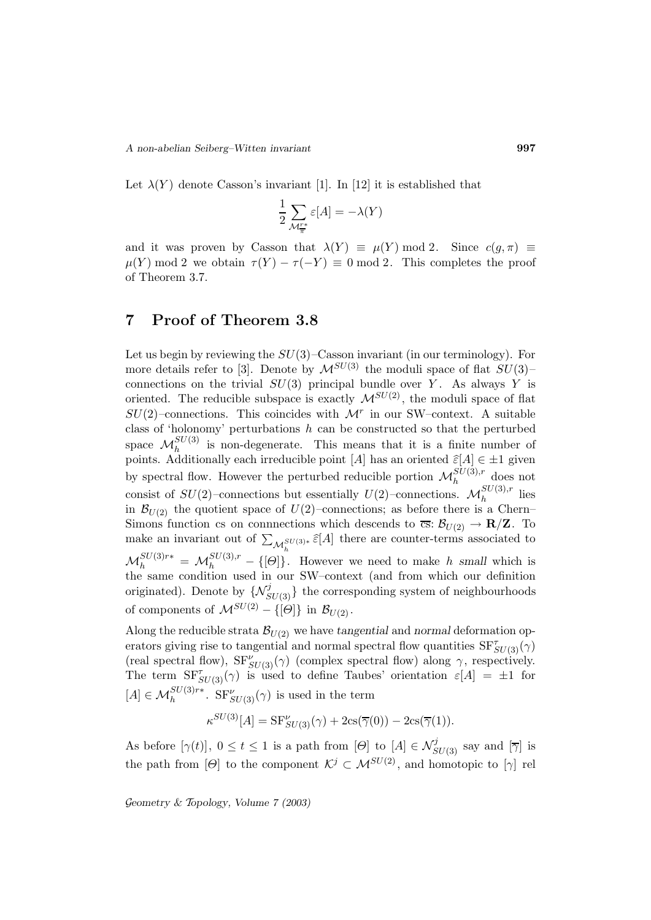Let  $\lambda(Y)$  denote Casson's invariant [1]. In [12] it is established that

$$
\frac{1}{2}\sum_{\mathcal{M}^{r*}_{\overline{\pi}}}\varepsilon[A]=-\lambda(Y)
$$

and it was proven by Casson that  $\lambda(Y) \equiv \mu(Y) \mod 2$ . Since  $c(g, \pi) \equiv$  $\mu(Y) \mod 2$  we obtain  $\tau(Y) - \tau(-Y) \equiv 0 \mod 2$ . This completes the proof of Theorem 3.7.

# **7 Proof of Theorem 3.8**

Let us begin by reviewing the  $SU(3)$ –Casson invariant (in our terminology). For more details refer to [3]. Denote by  $\mathcal{M}^{SU(3)}$  the moduli space of flat  $SU(3)$ – connections on the trivial  $SU(3)$  principal bundle over Y. As always Y is oriented. The reducible subspace is exactly  $\mathcal{M}^{SU(2)}$ , the moduli space of flat  $SU(2)$ –connections. This coincides with  $\mathcal{M}^r$  in our SW–context. A suitable class of 'holonomy' perturbations  $h$  can be constructed so that the perturbed space  $\mathcal{M}_h^{SU(3)}$  is non-degenerate. This means that it is a finite number of points. Additionally each irreducible point [A] has an oriented  $\widehat{\varepsilon}[A] \in \pm 1$  given by spectral flow. However the perturbed reducible portion  $\mathcal{M}_h^{SU(3),r}$  does not consist of  $SU(2)$ -connections but essentially  $U(2)$ -connections.  $\mathcal{M}_h^{SU(3),r}$  lies in  $\mathcal{B}_{U(2)}$  the quotient space of  $U(2)$ –connections; as before there is a Chern– Simons function cs on connnections which descends to  $\overline{cs}$ :  $\mathcal{B}_{U(2)} \to \mathbf{R}/\mathbf{Z}$ . To make an invariant out of  $\sum_{\mathcal{M}_h^{SU(3)*}} \hat{\varepsilon}[A]$  there are counter-terms associated to  $\mathcal{M}_h^{SU(3)r*} = \mathcal{M}_h^{SU(3),r} - \{[\Theta]\}.$  However we need to make h small which is the same condition used in our SW–context (and from which our definition originated). Denote by  $\{N_{SU(3)}^{j}\}$  the corresponding system of neighbourhoods of components of  $\mathcal{M}^{SU(2)} - \{[\Theta]\}\$ in  $\mathcal{B}_{U(2)}$ .

Along the reducible strata  $\mathcal{B}_{U(2)}$  we have *tangential* and *normal* deformation operators giving rise to tangential and normal spectral flow quantities  $SF_{SU(3)}^{\tau}(\gamma)$ (real spectral flow),  $SF'_{SU(3)}(\gamma)$  (complex spectral flow) along  $\gamma$ , respectively. The term  $SF_{SU(3)}^{\tau}(\gamma)$  is used to define Taubes' orientation  $\varepsilon[A] = \pm 1$  for  $[A] \in \mathcal{M}_h^{SU(3)r*}$ .  $SF_{SU(3)}^{\nu}(\gamma)$  is used in the term

$$
\kappa^{SU(3)}[A] = \text{SF}_{SU(3)}^{\nu}(\gamma) + 2\text{cs}(\overline{\gamma}(0)) - 2\text{cs}(\overline{\gamma}(1)).
$$

As before  $[\gamma(t)], 0 \le t \le 1$  is a path from  $[\Theta]$  to  $[A] \in \mathcal{N}_{SU(3)}^j$  say and  $[\overline{\gamma}]$  is the path from [Θ] to the component  $\mathcal{K}^j \subset \mathcal{M}^{SU(2)}$ , and homotopic to [ $\gamma$ ] rel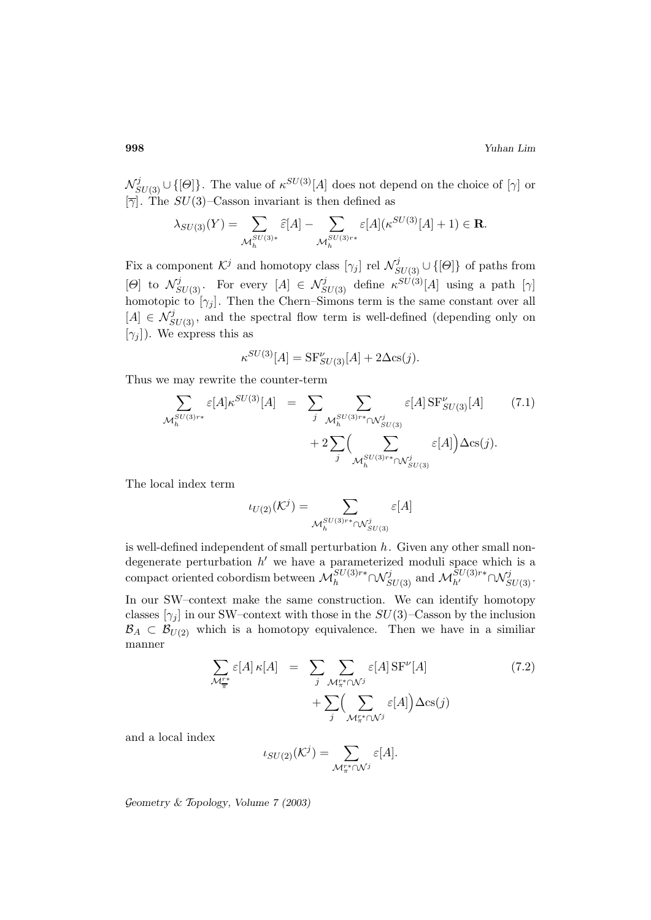$\mathcal{N}_{SU(3)}^{j} \cup \{[\Theta]\}\.$  The value of  $\kappa^{SU(3)}[A]$  does not depend on the choice of  $[\gamma]$  or  $[\overline{\gamma}]$ . The  $SU(3)$ -Casson invariant is then defined as

$$
\lambda_{SU(3)}(Y) = \sum_{\mathcal{M}_h^{SU(3)*}} \widehat{\varepsilon}[A] - \sum_{\mathcal{M}_h^{SU(3)r*}} \varepsilon[A](\kappa^{SU(3)}[A] + 1) \in \mathbf{R}.
$$

Fix a component  $\mathcal{K}^j$  and homotopy class  $[\gamma_j]$  rel  $\mathcal{N}_{SU(3)}^j \cup \{[\Theta]\}$  of paths from  $[\Theta]$  to  $\mathcal{N}_{SU(3)}^j$ . For every  $[A] \in \mathcal{N}_{SU(3)}^j$  define  $\kappa^{SU(3)}[A]$  using a path  $[\gamma]$ homotopic to  $[\gamma_j]$ . Then the Chern–Simons term is the same constant over all  $[A] \in \mathcal{N}_{SU(3)}^{j}$ , and the spectral flow term is well-defined (depending only on  $[\gamma_i]$ ). We express this as

$$
\kappa^{SU(3)}[A] = \text{SF}_{SU(3)}^{\nu}[A] + 2\Delta \text{cs}(j).
$$

Thus we may rewrite the counter-term

$$
\sum_{\mathcal{M}_{h}^{SU(3)r*}} \varepsilon[A] \kappa^{SU(3)}[A] = \sum_{j} \sum_{\mathcal{M}_{h}^{SU(3)r*} \cap \mathcal{N}_{SU(3)}^{j}} \varepsilon[A] \operatorname{SF}_{SU(3)}^{V[A]}[A] \qquad (7.1)
$$

$$
+ 2 \sum_{j} \Big( \sum_{\mathcal{M}_{h}^{SU(3)r*} \cap \mathcal{N}_{SU(3)}^{j}} \varepsilon[A] \Big) \Delta \operatorname{cs}(j).
$$

The local index term

$$
\iota_{U(2)}(\mathcal{K}^j) = \sum_{\mathcal{M}_h^{SU(3)r*} \cap \mathcal{N}_{SU(3)}^j} \varepsilon[A]
$$

is well-defined independent of small perturbation  $h$ . Given any other small nondegenerate perturbation  $h'$  we have a parameterized moduli space which is a compact oriented cobordism between  $\mathcal{M}_h^{SU(3)r*} \cap \mathcal{N}_{SU(3)}^j$  and  $\mathcal{M}_{h'}^{SU(3)r*} \cap \mathcal{N}_{SU(3)}^j$ .

In our SW–context make the same construction. We can identify homotopy classes  $[\gamma_i]$  in our SW–context with those in the  $SU(3)$ –Casson by the inclusion  $\mathcal{B}_A \subset \mathcal{B}_{U(2)}$  which is a homotopy equivalence. Then we have in a similiar manner

$$
\sum_{\mathcal{M}_{\pi}^{r*}} \varepsilon[A] \kappa[A] = \sum_{j} \sum_{\mathcal{M}_{\pi}^{r*} \cap \mathcal{N}^{j}} \varepsilon[A] \text{SF}^{\nu}[A] \tag{7.2}
$$
\n
$$
+ \sum_{j} \Biggl(\sum_{\mathcal{M}_{\pi}^{r*} \cap \mathcal{N}^{j}} \varepsilon[A]\Biggr) \Delta \text{cs}(j)
$$

and a local index

$$
\iota_{SU(2)}(\mathcal{K}^j) = \sum_{\mathcal{M}^{r*}_{\pi} \cap \mathcal{N}^j} \varepsilon[A].
$$